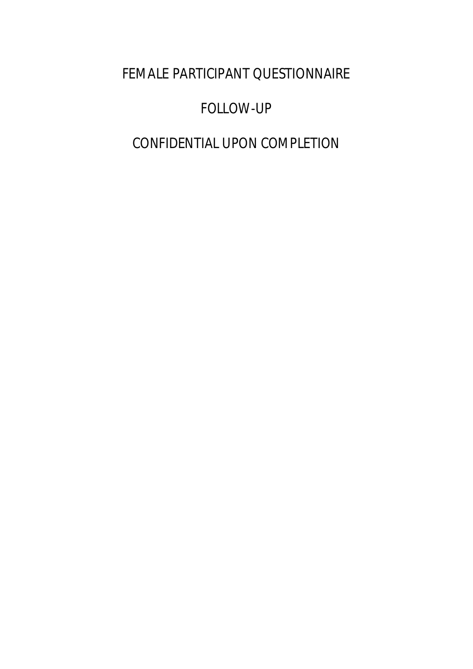FEMALE PARTICIPANT QUESTIONNAIRE

# FOLLOW-UP

# CONFIDENTIAL UPON COMPLETION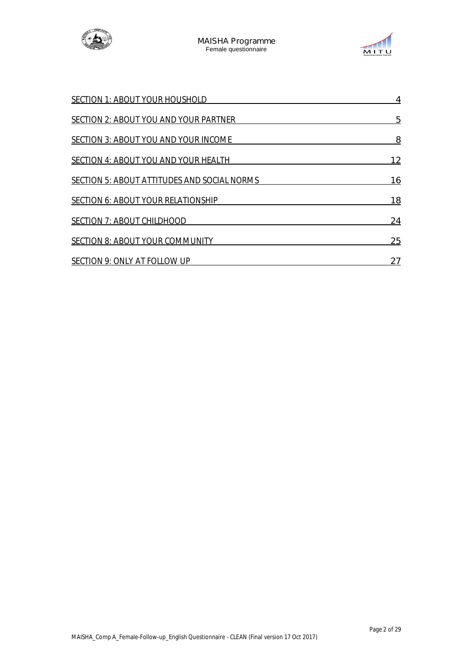



| <b>SECTION 1: ABOUT YOUR HOUSHOLD</b>              | 4         |
|----------------------------------------------------|-----------|
| <b>SECTION 2: ABOUT YOU AND YOUR PARTNER</b>       | 5         |
| <b>SECTION 3: ABOUT YOU AND YOUR INCOME</b>        | 8         |
| <b>SECTION 4: ABOUT YOU AND YOUR HEALTH</b>        | 12        |
| <b>SECTION 5: ABOUT ATTITUDES AND SOCIAL NORMS</b> | 16        |
| <b>SECTION 6: ABOUT YOUR RELATIONSHIP</b>          | <b>18</b> |
| <b>SECTION 7: ABOUT CHILDHOOD</b>                  | 24        |
| <b>SECTION 8: ABOUT YOUR COMMUNITY</b>             | 25        |
| <b>SECTION 9: ONLY AT FOLLOW UP</b>                | 27        |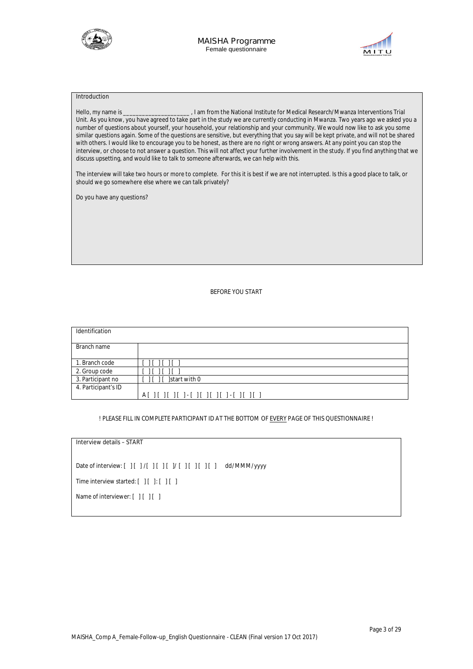



#### **Introduction**

Hello, my name is \_\_\_\_\_\_\_\_\_\_\_\_\_\_\_\_\_\_\_\_\_ , I am from the National Institute for Medical Research/Mwanza Interventions Trial Unit. As you know, you have agreed to take part in the study we are currently conducting in Mwanza. Two years ago we asked you a number of questions about yourself, your household, your relationship and your community. We would now like to ask you some similar questions again. Some of the questions are sensitive, but everything that you say will be kept private, and will not be shared with others. I would like to encourage you to be honest, as there are no right or wrong answers. At any point you can stop the interview, or choose to not answer a question. This will not affect your further involvement in the study. If you find anything that we discuss upsetting, and would like to talk to someone afterwards, we can help with this.

The interview will take two hours or more to complete. For this it is best if we are not interrupted. Is this a good place to talk, or should we go somewhere else where we can talk privately?

Do you have any questions?

#### **BEFORE YOU START**

| Identification      |                                      |
|---------------------|--------------------------------------|
| Branch name         |                                      |
| 1. Branch code      | $[ ] [ ] [ ] [ ] [ ]$                |
| 2. Group code       |                                      |
| 3. Participant no   | [ ] [ ] [ ] start with 0             |
| 4. Participant's ID |                                      |
|                     | A[ ][ ][ ][ ]-[ ][ ][ ][ ]-[ ][ ][ ] |

#### **! PLEASE FILL IN COMPLETE PARTICIPANT ID AT THE BOTTOM OF EVERY PAGE OF THIS QUESTIONNAIRE !**

#### **Interview details – START**

Date of interview: **[ ] [ ] /[ ] [ ] [ ]/ [ ] [ ] [ ] [ ] dd/MMM/yyyy**

Time interview started: **[ ] [ ]: [ ] [ ]**

Name of interviewer: **[ ] [ ] [ ]**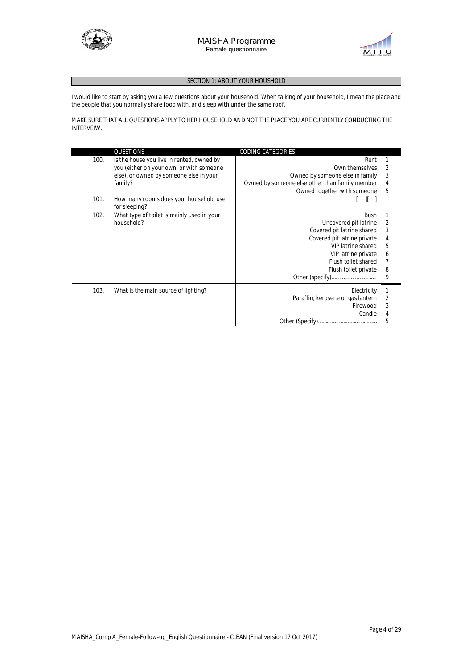



#### **SECTION 1: ABOUT YOUR HOUSHOLD**

I would like to start by asking you a few questions about your household. When talking of your household, I mean the place and the people that you normally share food with, and sleep with under the same roof.

MAKE SURE THAT ALL QUESTIONS APPLY TO HER HOUSEHOLD AND NOT THE PLACE YOU ARE CURRENTLY CONDUCTING THE INTERVEIW.

|      | QUESTIONS                                  | <b>CODING CATEGORIES</b>                       |              |
|------|--------------------------------------------|------------------------------------------------|--------------|
| 100. | Is the house you live in rented, owned by  | Rent                                           |              |
|      | you (either on your own, or with someone   | Own themselves                                 |              |
|      | else), or owned by someone else in your    | Owned by someone else in family                | 3            |
|      | family?                                    | Owned by someone else other than family member |              |
|      |                                            | Owned together with someone                    | 5            |
| 101. | How many rooms does your household use     |                                                |              |
|      | for sleeping?                              |                                                |              |
| 102. | What type of toilet is mainly used in your | <b>Bush</b>                                    |              |
|      | household?                                 | Uncovered pit latrine                          |              |
|      |                                            | Covered pit latrine shared                     |              |
|      |                                            | Covered pit latrine private                    |              |
|      |                                            | VIP latrine shared                             | 5            |
|      |                                            | VIP latrine private                            |              |
|      |                                            | Flush toilet shared                            |              |
|      |                                            | Flush toilet private                           | 8            |
|      |                                            |                                                | 9            |
| 103. | What is the main source of lighting?       | Electricity                                    | $\mathbf{1}$ |
|      |                                            | Paraffin, kerosene or gas lantern              |              |
|      |                                            | Firewood                                       |              |
|      |                                            | Candle                                         |              |
|      |                                            |                                                | 5            |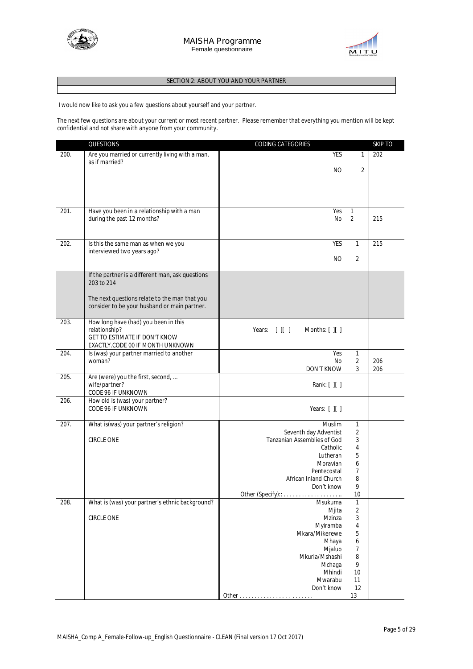



#### **SECTION 2: ABOUT YOU AND YOUR PARTNER**

I would now like to ask you a few questions about yourself and your partner.

The next few questions are about your current or most recent partner. Please remember that everything you mention will be kept confidential and not share with anyone from your community.

|      | QUESTIONS                                                         | CODING CATEGORIES                                                                                      |                   | <b>SKIP TO</b> |
|------|-------------------------------------------------------------------|--------------------------------------------------------------------------------------------------------|-------------------|----------------|
| 200. | Are you married or currently living with a man,<br>as if married? | <b>YES</b>                                                                                             | $\mathbf{1}$      | 202            |
|      |                                                                   | NO.                                                                                                    | 2                 |                |
|      |                                                                   |                                                                                                        |                   |                |
|      |                                                                   |                                                                                                        |                   |                |
| 201. | Have you been in a relationship with a man                        | Yes                                                                                                    | 1                 |                |
|      | during the past 12 months?                                        | No                                                                                                     | $\overline{2}$    | 215            |
|      |                                                                   |                                                                                                        |                   |                |
| 202. | Is this the same man as when we you                               | <b>YES</b>                                                                                             | $\mathbf{1}$      | 215            |
|      | interviewed two years ago?                                        | NO.                                                                                                    | 2                 |                |
|      |                                                                   |                                                                                                        |                   |                |
|      | If the partner is a different man, ask questions<br>203 to 214    |                                                                                                        |                   |                |
|      | The next questions relate to the man that you                     |                                                                                                        |                   |                |
|      | consider to be your husband or main partner.                      |                                                                                                        |                   |                |
| 203. | How long have (had) you been in this                              |                                                                                                        |                   |                |
|      | relationship?<br>GET TO ESTIMATE IF DON'T KNOW                    | Months: [ ][ ]<br>Years: $[ ] [ ]$                                                                     |                   |                |
|      | EXACTLY.CODE 00 IF MONTH UNKNOWN                                  |                                                                                                        |                   |                |
| 204. | Is (was) your partner married to another<br>woman?                | Yes<br>No                                                                                              | $\mathbf{1}$<br>2 | 206            |
|      |                                                                   | DON'T KNOW                                                                                             | 3                 | 206            |
| 205. | Are (were) you the first, second,<br>wife/partner?                | Rank: $[ ] [ ]$                                                                                        |                   |                |
|      | CODE 96 IF UNKNOWN                                                |                                                                                                        |                   |                |
| 206. | How old is (was) your partner?<br>CODE 96 IF UNKNOWN              | Years: $[ ] [ ]$                                                                                       |                   |                |
| 207. | What is(was) your partner's religion?                             | <b>Muslim</b>                                                                                          | $\mathbf{1}$      |                |
|      |                                                                   | Seventh day Adventist                                                                                  | $\overline{2}$    |                |
|      | <b>CIRCLE ONE</b>                                                 | Tanzanian Assemblies of God                                                                            | 3                 |                |
|      |                                                                   | Catholic                                                                                               | 4                 |                |
|      |                                                                   | Lutheran                                                                                               | 5                 |                |
|      |                                                                   | Moravian<br>Pentecostal                                                                                | 6<br>7            |                |
|      |                                                                   | African Inland Church                                                                                  | 8                 |                |
|      |                                                                   | Don't know                                                                                             | 9                 |                |
|      |                                                                   |                                                                                                        | 10                |                |
| 208. | What is (was) your partner's ethnic background?                   | Msukuma                                                                                                | $\mathbf{1}$      |                |
|      |                                                                   | Mjita                                                                                                  | $\overline{2}$    |                |
|      | CIRCLE ONE                                                        | Mzinza                                                                                                 | 3                 |                |
|      |                                                                   | Myiramba                                                                                               | $\overline{4}$    |                |
|      |                                                                   | Mkara/Mikerewe                                                                                         | 5                 |                |
|      |                                                                   | Mhaya                                                                                                  | 6                 |                |
|      |                                                                   | Mjaluo                                                                                                 | $\overline{7}$    |                |
|      |                                                                   | Mkuria/Mshashi<br>Mchaga                                                                               | 8<br>9            |                |
|      |                                                                   | Mhindi                                                                                                 | 10                |                |
|      |                                                                   | Mwarabu                                                                                                | 11                |                |
|      |                                                                   | Don't know                                                                                             | 12                |                |
|      |                                                                   | Other<br>$\begin{array}{cccccccccccccc} . & . & . & . & . & . & . & . & . & . & . & . & . \end{array}$ | 13                |                |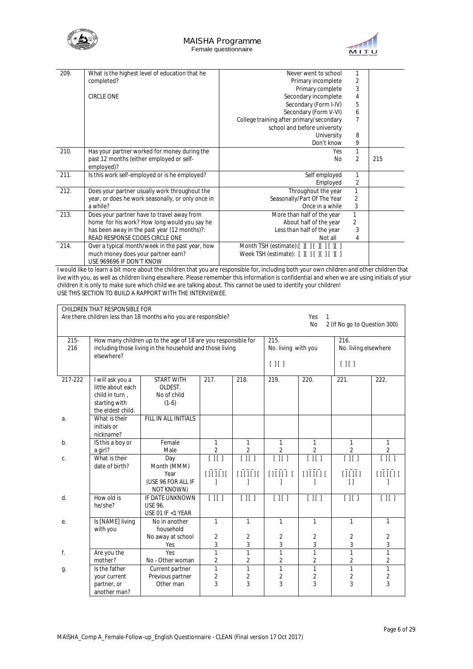



| 209. | What is the highest level of education that he    | Never went to school                     | 1              |     |
|------|---------------------------------------------------|------------------------------------------|----------------|-----|
|      | completed?                                        | Primary incomplete                       | 2              |     |
|      |                                                   | Primary complete                         | 3              |     |
|      | <b>CIRCLE ONE</b>                                 | Secondary incomplete                     | 4              |     |
|      |                                                   | Secondary (Form I-IV)                    | 5              |     |
|      |                                                   | Secondary (Form V-VI)                    | 6              |     |
|      |                                                   | College training after primary/secondary | 7              |     |
|      |                                                   | school and before university             |                |     |
|      |                                                   | University                               | 8              |     |
|      |                                                   | Don't know                               | 9              |     |
| 210. | Has your partner worked for money during the      | Yes                                      | 1              |     |
|      | past 12 months (either employed or self-          | <b>No</b>                                | 2              | 215 |
|      | employed)?                                        |                                          |                |     |
| 211. | Is this work self-employed or is he employed?     | Self employed                            | 1              |     |
|      |                                                   | Employed                                 | 2              |     |
| 212. | Does your partner usually work throughout the     | Throughout the year                      | 1              |     |
|      | year, or does he work seasonally, or only once in | Seasonally/Part Of The Year              | 2              |     |
|      | a while?                                          | Once in a while                          | 3              |     |
| 213. | Does your partner have to travel away from        | More than half of the year               | $\mathbf{1}$   |     |
|      | home for his work? How long would you say he      | About half of the year                   | $\overline{2}$ |     |
|      | has been away in the past year (12 months)?:      | Less than half of the year               | 3              |     |
|      | READ RESPONSE CODES CIRCLE ONE                    | Not all                                  | 4              |     |
| 214. | Over a typical month/week in the past year, how   | Month TSH (estimate):[ ][ ][ ][ ][ ][ ]  |                |     |
|      | much money does your partner earn?                | Week TSH (estimate): [ ][ ][ ][ ][ ][ ]  |                |     |
|      | USE 969696 IF DON'T KNOW                          |                                          |                |     |

I would like to learn a bit more about the children that you are responsible for, including both your own children and other children that live with you, as well as children living elsewhere. Please remember this information is confidential and when we are using initials of your children it is only to make sure which child we are talking about. This cannot be used to identify your children! USE THIS SECTION TO BUILD A RAPPORT WITH THE INTERVIEWEE.

| CHILDREN THAT RESPONSIBLE FOR |                                                                                                                                         |                                                                       |                                     |                                                  |                                     |                                     |                                           |                                     |
|-------------------------------|-----------------------------------------------------------------------------------------------------------------------------------------|-----------------------------------------------------------------------|-------------------------------------|--------------------------------------------------|-------------------------------------|-------------------------------------|-------------------------------------------|-------------------------------------|
|                               | Are there children less than 18 months who you are responsible?<br>Yes<br>1<br>2 (If No go to Question 300)<br><b>No</b>                |                                                                       |                                     |                                                  |                                     |                                     |                                           |                                     |
| $215 -$<br>216                | How many children up to the age of 18 are you responsible for<br>including those living in the household and those living<br>elsewhere? |                                                                       |                                     | 215.<br>216.<br>No. living with you<br>$[ ] [ ]$ |                                     | [ ] [ ]                             | No. living elsewhere                      |                                     |
| 217-222                       | I will ask you a<br>little about each<br>child in turn,<br>starting with<br>the eldest child.                                           | <b>START WITH</b><br>OLDEST.<br>No of child<br>$(1-6)$                | 217.                                | 218.                                             | 219.                                | 220.                                | 221.                                      | 222.                                |
| a.                            | What is their<br>initials or<br>nickname?                                                                                               | FILL IN ALL INITIALS                                                  |                                     |                                                  |                                     |                                     |                                           |                                     |
| $b$ .                         | IS this a boy or<br>a girl?                                                                                                             | Female<br>Male                                                        | 1<br>$\overline{2}$                 | 1<br>$\overline{2}$                              | 1<br>$\overline{2}$                 | 1<br>$\overline{2}$                 | 1<br>$\overline{2}$                       | 1<br>$\overline{2}$                 |
| C.                            | What is their<br>date of birth?                                                                                                         | Day<br>Month (MMM)<br>Year<br>(USE 96 FOR ALL IF<br><b>NOT KNOWN)</b> | $\overline{[\;][\;]}$<br>[11111]    | $\overline{[\;][\;]}$<br>[11111]                 | $\overline{[\;][\;]}$<br>$[111111]$ | $\overline{[\;][\;]}$<br>[1[]1]     | $\overline{[\ ][\ ]}$<br>[1111]<br>$\Box$ | $\overline{[\;][\;]}$<br>[1[]1]     |
| d.                            | How old is<br>he/she?                                                                                                                   | <b>IF DATE UNKNOWN</b><br><b>USE 96.</b><br>USE 01 IF <1 YEAR         | $\overline{[11]}$                   | $\boxed{\prod}$                                  | $\overline{[\;][\;]}$               | $\overline{[\;][\;]}$               | $\boxed{\prod}$                           | $\boxed{\prod}$                     |
| е.                            | Is [NAME] living<br>with you                                                                                                            | No in another<br>household<br>No away at school<br>Yes                | $\mathbf{1}$<br>2<br>3              | $\mathbf{1}$<br>2<br>3                           | $\mathbf{1}$<br>2<br>3              | $\mathbf{1}$<br>$\overline{2}$<br>3 | $\mathbf{1}$<br>2<br>3                    | $\mathbf{1}$<br>$\overline{2}$<br>3 |
| f.                            | Are you the<br>mother?                                                                                                                  | Yes<br>No - Other woman                                               | $\mathbf{1}$<br>2                   | $\mathbf{1}$<br>2                                | 1<br>2                              | $\mathbf{1}$<br>$\overline{2}$      | $\mathbf{1}$<br>2                         | $\mathbf{1}$<br>$\overline{2}$      |
| g.                            | Is the father<br>your current<br>partner, or<br>another man?                                                                            | Current partner<br>Previous partner<br>Other man                      | $\mathbf{1}$<br>$\overline{2}$<br>3 | $\mathbf{1}$<br>$\overline{2}$<br>3              | $\mathbf{1}$<br>2<br>3              | $\mathbf{1}$<br>$\overline{2}$<br>3 | $\mathbf{1}$<br>$\overline{2}$<br>3       | $\mathbf{1}$<br>$\overline{2}$<br>3 |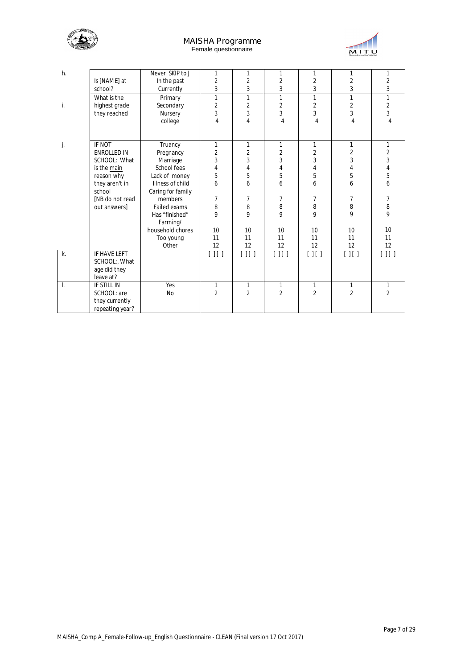



| h. |                    | Never SKIP to J   | 1                     | 1                     | 1                     | 1                     | 1                 | 1                 |
|----|--------------------|-------------------|-----------------------|-----------------------|-----------------------|-----------------------|-------------------|-------------------|
|    | Is [NAME] at       | In the past       | $\overline{2}$        | $\overline{2}$        | $\overline{2}$        | $\overline{2}$        | $\overline{2}$    | $\overline{2}$    |
|    | school?            | Currently         | 3                     | 3                     | 3                     | 3                     | 3                 | 3                 |
|    | What is the        | Primary           | $\mathbf{1}$          | 1                     | $\mathbf{1}$          | 1                     | 1                 | 1                 |
| i. | highest grade      | Secondary         | $\overline{2}$        | $\overline{2}$        | $\overline{2}$        | $\overline{2}$        | $\overline{2}$    | $\overline{2}$    |
|    | they reached       | Nursery           | 3                     | 3                     | 3                     | 3                     | 3                 | 3                 |
|    |                    | college           | 4                     | 4                     | $\overline{4}$        | $\overline{4}$        | 4                 | 4                 |
|    |                    |                   |                       |                       |                       |                       |                   |                   |
| j. | IF NOT             | Truancy           | 1                     | 1                     | 1                     | 1                     | 1                 | 1                 |
|    | <b>ENROLLED IN</b> | Pregnancy         | $\overline{2}$        | $\overline{2}$        | $\overline{2}$        | $\overline{2}$        | $\overline{2}$    | $\overline{2}$    |
|    | SCHOOL: What       | Marriage          | 3                     | 3                     | 3                     | 3                     | 3                 | 3                 |
|    | is the main        | School fees       | 4                     | 4                     | 4                     | 4                     | $\overline{4}$    | $\overline{4}$    |
|    | reason why         | Lack of money     | 5                     | 5                     | 5                     | 5                     | 5                 | 5                 |
|    | they aren't in     | Illness of child  | 6                     | 6                     | 6                     | 6                     | 6                 | 6                 |
|    | school             | Caring for family |                       |                       |                       |                       |                   |                   |
|    | [NB do not read    | members           | 7                     | 7                     | 7                     | 7                     | $\overline{7}$    | $\overline{7}$    |
|    | out answers]       | Failed exams      | 8                     | 8                     | 8                     | 8                     | 8                 | 8                 |
|    |                    | Has "finished"    | 9                     | 9                     | 9                     | 9                     | 9                 | 9                 |
|    |                    | Farming/          |                       |                       |                       |                       |                   |                   |
|    |                    | household chores  | 10                    | 10                    | 10                    | 10                    | 10                | 10                |
|    |                    | Too young         | 11                    | 11                    | 11                    | 11                    | 11                | 11                |
|    |                    | Other             | 12                    | 12                    | 12                    | 12                    | 12                | 12                |
| k. | IF HAVE LEFT       |                   | $\overline{[\;][\;]}$ | $\overline{[\;][\;]}$ | $\overline{[\;][\;]}$ | $\overline{[\;][\;]}$ | $\overline{[11]}$ | $\overline{[11]}$ |
|    | SCHOOL:, What      |                   |                       |                       |                       |                       |                   |                   |
|    | age did they       |                   |                       |                       |                       |                       |                   |                   |
|    | leave at?          |                   |                       |                       |                       |                       |                   |                   |
| Ι. | IF STILL IN        | Yes               | 1                     | 1                     | 1                     | 1                     | $\mathbf{1}$      | 1                 |
|    | SCHOOL: are        | No                | $\overline{2}$        | $\overline{2}$        | $\overline{2}$        | $\overline{2}$        | $\overline{2}$    | $\overline{2}$    |
|    | they currently     |                   |                       |                       |                       |                       |                   |                   |
|    | repeating year?    |                   |                       |                       |                       |                       |                   |                   |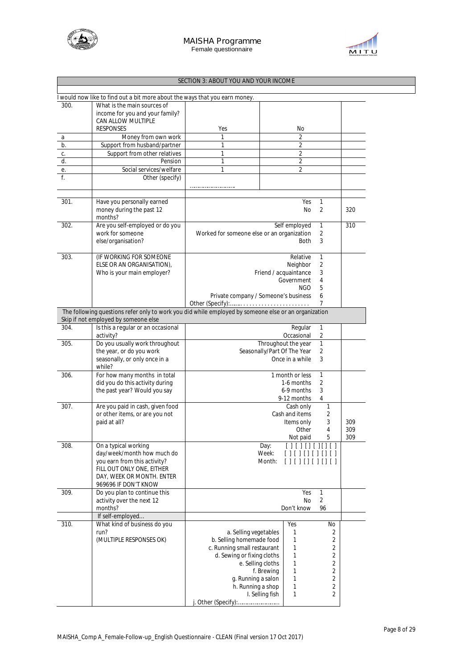



# **SECTION 3: ABOUT YOU AND YOUR INCOME**

|      | I would now like to find out a bit more about the ways that you earn money.                          |                                            |                                                  |     |
|------|------------------------------------------------------------------------------------------------------|--------------------------------------------|--------------------------------------------------|-----|
| 300. | What is the main sources of                                                                          |                                            |                                                  |     |
|      | income for you and your family?                                                                      |                                            |                                                  |     |
|      | CAN ALLOW MULTIPLE                                                                                   |                                            |                                                  |     |
|      | <b>RESPONSES</b>                                                                                     | Yes                                        | No                                               |     |
|      |                                                                                                      |                                            |                                                  |     |
| a    | Money from own work                                                                                  | 1                                          | 2                                                |     |
| b.   | Support from husband/partner                                                                         | 1                                          | 2                                                |     |
| c.   | Support from other relatives                                                                         | 1                                          | $\overline{2}$                                   |     |
| d.   | Pension                                                                                              | 1                                          | $\overline{2}$                                   |     |
| е.   | Social services/welfare                                                                              | 1                                          | 2                                                |     |
| f.   | Other (specify)                                                                                      |                                            |                                                  |     |
|      |                                                                                                      |                                            |                                                  |     |
|      |                                                                                                      |                                            |                                                  |     |
| 301. | Have you personally earned                                                                           |                                            | Yes<br>1                                         |     |
|      | money during the past 12<br>months?                                                                  |                                            | <b>No</b><br>2                                   | 320 |
| 302. | Are you self-employed or do you                                                                      |                                            | Self employed<br>1                               | 310 |
|      | work for someone                                                                                     | Worked for someone else or an organization | 2                                                |     |
|      |                                                                                                      |                                            |                                                  |     |
|      | else/organisation?                                                                                   |                                            | 3<br><b>Both</b>                                 |     |
|      |                                                                                                      |                                            |                                                  |     |
| 303. | (IF WORKING FOR SOMEONE                                                                              |                                            | $\mathbf{1}$<br>Relative                         |     |
|      | ELSE OR AN ORGANISATION),                                                                            |                                            | Neighbor<br>2                                    |     |
|      | Who is your main employer?                                                                           |                                            | Friend / acquaintance<br>3                       |     |
|      |                                                                                                      |                                            | Government<br>4                                  |     |
|      |                                                                                                      |                                            | 5<br>NGO.                                        |     |
|      |                                                                                                      | Private company / Someone's business       | 6                                                |     |
|      |                                                                                                      | Other (Specify):                           | 7                                                |     |
|      | The following questions refer only to work you did while employed by someone else or an organization |                                            |                                                  |     |
|      | Skip if not employed by someone else                                                                 |                                            |                                                  |     |
| 304. | Is this a regular or an occasional                                                                   |                                            | Regular<br>1                                     |     |
|      | activity?                                                                                            |                                            | Occasional<br>2                                  |     |
| 305. | Do you usually work throughout                                                                       |                                            | 1<br>Throughout the year                         |     |
|      | the year, or do you work                                                                             |                                            | Seasonally/Part Of The Year<br>2                 |     |
|      | seasonally, or only once in a                                                                        |                                            | Once in a while<br>3                             |     |
|      | while?                                                                                               |                                            |                                                  |     |
|      |                                                                                                      |                                            |                                                  |     |
| 306. | For how many months in total                                                                         |                                            | 1 month or less<br>1                             |     |
|      | did you do this activity during                                                                      |                                            | $\overline{2}$<br>1-6 months                     |     |
|      | the past year? Would you say                                                                         |                                            | 3<br>6-9 months                                  |     |
|      |                                                                                                      |                                            | 9-12 months<br>4                                 |     |
| 307. | Are you paid in cash, given food                                                                     |                                            | 1<br>Cash only                                   |     |
|      | or other items, or are you not                                                                       |                                            | Cash and items<br>2                              |     |
|      | paid at all?                                                                                         |                                            | 3<br>Items only                                  | 309 |
|      |                                                                                                      |                                            | 4<br>Other                                       |     |
|      |                                                                                                      |                                            |                                                  | 309 |
|      |                                                                                                      |                                            | 5<br>Not paid                                    | 309 |
| 308. | On a typical working                                                                                 |                                            | $[ ] [ ] [ ] [ ] [ ] [ ] [ ]$<br>$[ \ ]$<br>Day: |     |
|      | day/week/month how much do                                                                           |                                            | Week:<br>[ ] [ ] [ ] [ ] [ ] [ ]<br>$\Box$       |     |
|      | you earn from this activity?                                                                         |                                            | Month:<br>[ ] [ ] [ ] [ ] [ ] [ ] [ ]            |     |
|      | FILL OUT ONLY ONE, EITHER                                                                            |                                            |                                                  |     |
|      | DAY, WEEK OR MONTH. ENTER                                                                            |                                            |                                                  |     |
|      | 969696 IF DON'T KNOW                                                                                 |                                            |                                                  |     |
| 309. | Do you plan to continue this                                                                         |                                            | 1                                                |     |
|      |                                                                                                      |                                            | Yes                                              |     |
|      | activity over the next 12                                                                            |                                            | $\overline{2}$<br>No                             |     |
|      | months?                                                                                              |                                            | Don't know<br>96                                 |     |
|      | If self-employed                                                                                     |                                            |                                                  |     |
| 310. | What kind of business do you                                                                         |                                            | Yes<br>No                                        |     |
|      | run?                                                                                                 | a. Selling vegetables                      | 1<br>2                                           |     |
|      | (MULTIPLE RESPONSES OK)                                                                              | b. Selling homemade food                   | 1<br>2                                           |     |
|      |                                                                                                      | c. Running small restaurant                | 2<br>1                                           |     |
|      |                                                                                                      |                                            |                                                  |     |
|      |                                                                                                      | d. Sewing or fixing cloths                 | $\overline{2}$<br>$\mathbf{1}$                   |     |
|      |                                                                                                      | e. Selling cloths                          | $\mathbf{1}$<br>$\overline{2}$                   |     |
|      |                                                                                                      |                                            | f. Brewing<br>1<br>2                             |     |
|      |                                                                                                      | g. Running a salon                         | 1<br>$\overline{2}$                              |     |
|      |                                                                                                      | h. Running a shop                          | 1<br>$\overline{2}$                              |     |
|      |                                                                                                      |                                            | $\mathbf{1}$<br>I. Selling fish<br>2             |     |
|      |                                                                                                      |                                            |                                                  |     |
|      |                                                                                                      | j. Other (Specify):                        |                                                  |     |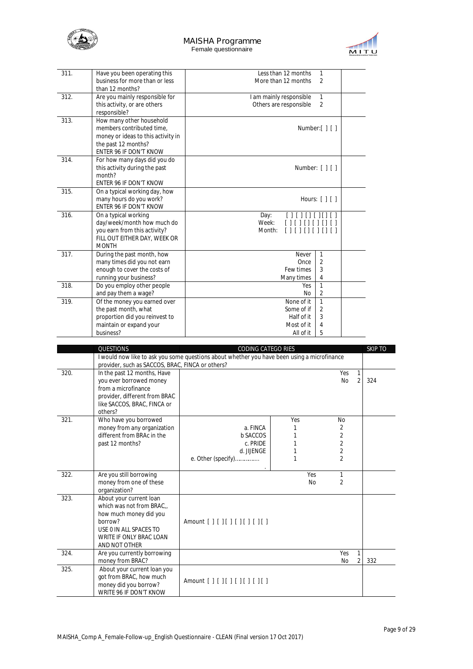



| 311. | Have you been operating this                               | Less than 12 months<br>1                            |  |
|------|------------------------------------------------------------|-----------------------------------------------------|--|
|      | business for more than or less                             | More than 12 months<br>2                            |  |
|      | than 12 months?                                            |                                                     |  |
| 312. | Are you mainly responsible for                             | I am mainly responsible<br>1                        |  |
|      | this activity, or are others                               | Others are responsible<br>2                         |  |
|      | responsible?                                               |                                                     |  |
| 313. | How many other household                                   |                                                     |  |
|      | members contributed time,                                  | Number: $\lceil \cdot \rceil$ $\lceil \cdot \rceil$ |  |
|      | money or ideas to this activity in                         |                                                     |  |
|      | the past 12 months?                                        |                                                     |  |
|      | ENTER 96 IF DON'T KNOW                                     |                                                     |  |
| 314. | For how many days did you do                               |                                                     |  |
|      | this activity during the past                              | Number: [ ] [ ]                                     |  |
|      | month?                                                     |                                                     |  |
|      | ENTER 96 IF DON'T KNOW                                     |                                                     |  |
| 315. | On a typical working day, how                              |                                                     |  |
|      | many hours do you work?                                    | Hours: $[     ]$                                    |  |
|      | ENTER 96 IF DON'T KNOW                                     |                                                     |  |
| 316. | On a typical working                                       | Day:<br>[1111]<br>Week:                             |  |
|      | day/week/month how much do<br>you earn from this activity? | $\Box$<br>Month:                                    |  |
|      | FILL OUT EITHER DAY, WEEK OR                               | [ ] [ ] [ ] [ ] [ ]                                 |  |
|      | <b>MONTH</b>                                               |                                                     |  |
| 317. | During the past month, how                                 | Never<br>1                                          |  |
|      | many times did you not earn                                | 2<br>Once                                           |  |
|      | enough to cover the costs of                               | 3<br>Few times                                      |  |
|      | running your business?                                     | Many times<br>4                                     |  |
| 318. | Do you employ other people                                 | $\mathbf{1}$<br>Yes                                 |  |
|      | and pay them a wage?                                       | 2<br>No                                             |  |
| 319. | Of the money you earned over                               | $\mathbf{1}$<br>None of it                          |  |
|      | the past month, what                                       | 2<br>Some of if                                     |  |
|      | proportion did you reinvest to                             | Half of it<br>3                                     |  |
|      | maintain or expand your                                    | Most of it<br>4                                     |  |
|      | business?                                                  | 5<br>All of it                                      |  |

|      | <b>QUESTIONS</b>                                             | <b>CODING CATEGO RIES</b>                                                                   |           |                             | <b>SKIP TO</b> |
|------|--------------------------------------------------------------|---------------------------------------------------------------------------------------------|-----------|-----------------------------|----------------|
|      |                                                              | I would now like to ask you some questions about whether you have been using a microfinance |           |                             |                |
|      | provider, such as SACCOS, BRAC, FINCA or others?             |                                                                                             |           |                             |                |
| 320. | In the past 12 months, Have                                  |                                                                                             |           | Yes<br>$\mathbf{1}$         |                |
|      | you ever borrowed money                                      |                                                                                             |           | $\overline{2}$<br><b>No</b> | 324            |
|      | from a microfinance                                          |                                                                                             |           |                             |                |
|      | provider, different from BRAC<br>like SACCOS, BRAC, FINCA or |                                                                                             |           |                             |                |
|      | others?                                                      |                                                                                             |           |                             |                |
| 321. | Who have you borrowed                                        |                                                                                             | Yes       | <b>No</b>                   |                |
|      | money from any organization                                  | a. FINCA                                                                                    |           | 2                           |                |
|      | different from BRAc in the                                   | <b>b</b> SACCOS                                                                             |           | $\overline{2}$              |                |
|      | past 12 months?                                              | c. PRIDE                                                                                    |           | 2                           |                |
|      |                                                              | d. JUENGE                                                                                   |           | $\overline{2}$              |                |
|      |                                                              | e. Other (specify)                                                                          |           | 2                           |                |
| 322. | Are you still borrowing                                      |                                                                                             | Yes       | $\mathbf{1}$                |                |
|      | money from one of these                                      |                                                                                             | <b>No</b> | 2                           |                |
|      | organization?                                                |                                                                                             |           |                             |                |
| 323. | About your current loan                                      |                                                                                             |           |                             |                |
|      | which was not from BRAC                                      |                                                                                             |           |                             |                |
|      | how much money did you                                       |                                                                                             |           |                             |                |
|      | borrow?                                                      | Amount $[$ $]$ $[$ $]$ $[$ $]$ $[$ $]$ $[$ $]$ $[$ $]$ $[$ $]$ $[$ $]$ $[$                  |           |                             |                |
|      | USE 0 IN ALL SPACES TO<br>WRITE IF ONLY BRAC LOAN            |                                                                                             |           |                             |                |
|      | AND NOT OTHER                                                |                                                                                             |           |                             |                |
| 324. | Are you currently borrowing                                  |                                                                                             |           | Yes<br>1                    |                |
|      | money from BRAC?                                             |                                                                                             |           | <b>No</b><br>2              | 332            |
| 325. | About your current loan you                                  |                                                                                             |           |                             |                |
|      | got from BRAC, how much                                      |                                                                                             |           |                             |                |
|      | money did you borrow?                                        | Amount [ ] [ ] [ ] [ ] [ ] [ ] [ ]                                                          |           |                             |                |
|      | WRITE 96 IF DON'T KNOW                                       |                                                                                             |           |                             |                |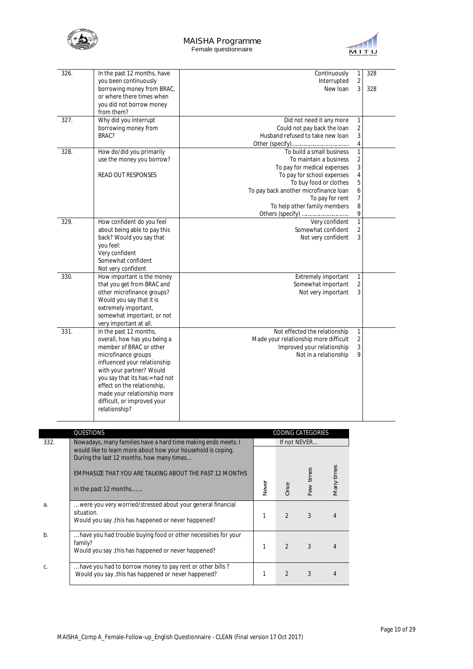



| 326. | In the past 12 months, have<br>you been continuously                                                                                                                                                                                                                                                                 | Continuously<br>Interrupted                                                                                                                                                                                                                                | $\mathbf{1}$<br>$\overline{2}$                                                        | 328 |
|------|----------------------------------------------------------------------------------------------------------------------------------------------------------------------------------------------------------------------------------------------------------------------------------------------------------------------|------------------------------------------------------------------------------------------------------------------------------------------------------------------------------------------------------------------------------------------------------------|---------------------------------------------------------------------------------------|-----|
|      | borrowing money from BRAC,<br>or where there times when<br>you did not borrow money<br>from them?                                                                                                                                                                                                                    | New Ioan                                                                                                                                                                                                                                                   | $\overline{3}$                                                                        | 328 |
| 327. | Why did you interrupt<br>borrowing money from<br>BRAC?                                                                                                                                                                                                                                                               | Did not need it any more<br>Could not pay back the loan<br>Husband refused to take new loan                                                                                                                                                                | 1<br>2<br>3<br>$\sqrt{4}$                                                             |     |
| 328. | How do/did you primarily<br>use the money you borrow?<br><b>READ OUT RESPONSES</b>                                                                                                                                                                                                                                   | To build a small business<br>To maintain a business<br>To pay for medical expenses<br>To pay for school expenses<br>To buy food or clothes<br>To pay back another microfinance loan<br>To pay for rent<br>To help other family members<br>Others (specify) | $\mathbf{1}$<br>$\overline{2}$<br>3<br>4<br>5<br>$\boldsymbol{6}$<br>7<br>$\, 8$<br>9 |     |
| 329. | How confident do you feel<br>about being able to pay this<br>back? Would you say that<br>you feel:<br>Very confident<br>Somewhat confident<br>Not very confident                                                                                                                                                     | Very confident<br>Somewhat confident<br>Not very confident                                                                                                                                                                                                 | $\mathbf{1}$<br>$\overline{2}$<br>3                                                   |     |
| 330. | How important is the money<br>that you get from BRAC and<br>other microfinance groups?<br>Would you say that it is<br>extremely important,<br>somewhat important, or not<br>very important at all.                                                                                                                   | Extremely important<br>Somewhat important<br>Not very important                                                                                                                                                                                            | $\mathbf{1}$<br>$\overline{2}$<br>3                                                   |     |
| 331. | In the past 12 months,<br>overall, how has you being a<br>member of BRAC or other<br>microfinance groups<br>influenced your relationship<br>with your partner? Would<br>you say that its has:= had not<br>effect on the relationship,<br>made your relationship more<br>difficult, or improved your<br>relationship? | Not effected the relationship<br>Made your relationship more difficult<br>Improved your relationship<br>Not in a relationship                                                                                                                              | 1<br>$\overline{2}$<br>3<br>9                                                         |     |
|      | QUESTIONS                                                                                                                                                                                                                                                                                                            | CODING CATEGORIES                                                                                                                                                                                                                                          |                                                                                       |     |

|       | <b>QUESTIONS</b>                                                                                                |              |                | <b><i>UUUINU UATEUUKIES</i></b> |            |
|-------|-----------------------------------------------------------------------------------------------------------------|--------------|----------------|---------------------------------|------------|
| 332.  | Nowadays, many families have a hard time making ends meets. I                                                   |              |                | If not NEVER                    |            |
|       | would like to learn more about how your household is coping.                                                    |              |                |                                 |            |
|       | During the last 12 months, how many times                                                                       |              |                |                                 |            |
|       | EMPHASIZE THAT YOU ARE TALKING ABOUT THE PAST 12 MONTHS                                                         |              |                |                                 | Many times |
|       |                                                                                                                 |              |                | Few times                       |            |
|       | In the past 12 months                                                                                           | <b>Never</b> | Once           |                                 |            |
|       |                                                                                                                 |              |                |                                 |            |
| a.    | were you very worried/stressed about your general financial                                                     |              |                |                                 |            |
|       | situation.<br>Would you say, this has happened or never happened?                                               |              | $\mathfrak{D}$ | 3                               |            |
|       |                                                                                                                 |              |                |                                 |            |
| $b$ . | have you had trouble buying food or other necessities for your                                                  |              |                |                                 |            |
|       | family?                                                                                                         |              | $\mathcal{P}$  | 3                               |            |
|       | Would you say, this has happened or never happened?                                                             |              |                |                                 |            |
|       |                                                                                                                 |              |                |                                 |            |
| C.    | have you had to borrow money to pay rent or other bills?<br>Would you say, this has happened or never happened? |              | $\mathfrak{D}$ | 3                               |            |
|       |                                                                                                                 |              |                |                                 |            |
|       |                                                                                                                 |              |                |                                 |            |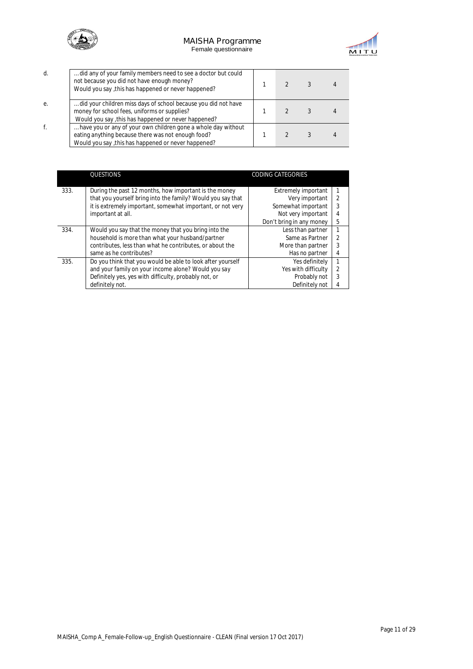



|    | did any of your family members need to see a doctor but could<br>not because you did not have enough money?<br>Would you say, this has happened or never happened?         |  |  |
|----|----------------------------------------------------------------------------------------------------------------------------------------------------------------------------|--|--|
| е. | did your children miss days of school because you did not have<br>money for school fees, uniforms or supplies?<br>Would you say, this has happened or never happened?      |  |  |
|    | have you or any of your own children gone a whole day without<br>eating anything because there was not enough food?<br>Would you say, this has happened or never happened? |  |  |

|      | QUESTIONS                                                   | <b>CODING CATEGORIES</b>   |                |
|------|-------------------------------------------------------------|----------------------------|----------------|
| 333. | During the past 12 months, how important is the money       | <b>Extremely important</b> |                |
|      | that you yourself bring into the family? Would you say that | Very important             | $\mathfrak{D}$ |
|      | it is extremely important, somewhat important, or not very  | Somewhat important         | 3              |
|      | important at all.                                           | Not very important         | 4              |
|      |                                                             | Don't bring in any money   | 5              |
| 334. | Would you say that the money that you bring into the        | Less than partner          |                |
|      | household is more than what your husband/partner            | Same as Partner            | $\mathcal{P}$  |
|      | contributes, less than what he contributes, or about the    | More than partner          | 3              |
|      | same as he contributes?                                     | Has no partner             | 4              |
| 335. | Do you think that you would be able to look after yourself  | Yes definitely             |                |
|      | and your family on your income alone? Would you say         | Yes with difficulty        | $\mathcal{P}$  |
|      | Definitely yes, yes with difficulty, probably not, or       | Probably not               | 3              |
|      | definitely not.                                             | Definitely not             | 4              |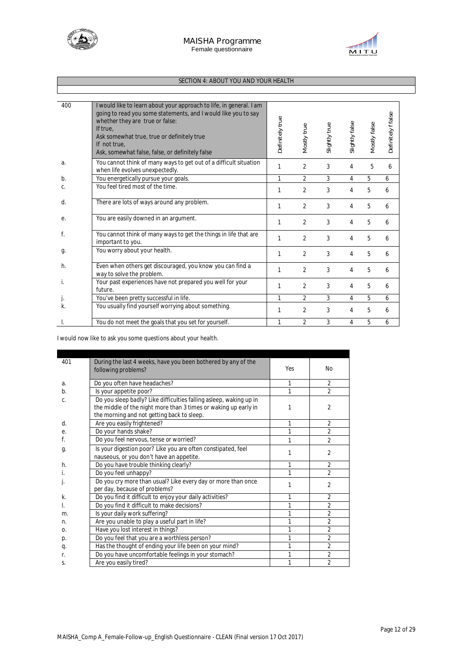



# **SECTION 4: ABOUT YOU AND YOUR HEALTH**

| 400   | I would like to learn about your approach to life, in general. I am<br>going to read you some statements, and I would like you to say<br>whether they are true or false:<br>If true.<br>Ask somewhat true, true or definitely true<br>If not true.<br>Ask, somewhat false, false, or definitely false | Definitely true | Mostly true    | Slightly true | Slightly false | Mostly false | Definitely f false |
|-------|-------------------------------------------------------------------------------------------------------------------------------------------------------------------------------------------------------------------------------------------------------------------------------------------------------|-----------------|----------------|---------------|----------------|--------------|--------------------|
| a.    | You cannot think of many ways to get out of a difficult situation<br>when life evolves unexpectedly.                                                                                                                                                                                                  | 1               | $\overline{2}$ | 3             | 4              | 5            | 6                  |
| $b$ . | You energetically pursue your goals.                                                                                                                                                                                                                                                                  | 1               | $\overline{2}$ | 3             | 4              | 5            | 6                  |
| C.    | You feel tired most of the time.                                                                                                                                                                                                                                                                      | 1               | $\overline{2}$ | 3             | 4              | 5            | 6                  |
| d.    | There are lots of ways around any problem.                                                                                                                                                                                                                                                            | 1               | $\overline{2}$ | 3             | 4              | 5            | 6                  |
| е.    | You are easily downed in an argument.                                                                                                                                                                                                                                                                 | 1               | $\overline{2}$ | 3             | 4              | 5            | 6                  |
| f.    | You cannot think of many ways to get the things in life that are<br>important to you.                                                                                                                                                                                                                 | 1               | $\overline{2}$ | 3             | 4              | 5            | 6                  |
| g.    | You worry about your health.                                                                                                                                                                                                                                                                          | 1               | $\overline{2}$ | 3             | 4              | 5            | 6                  |
| h.    | Even when others get discouraged, you know you can find a<br>way to solve the problem.                                                                                                                                                                                                                | 1               | $\overline{2}$ | 3             | 4              | 5            | 6                  |
| i.    | Your past experiences have not prepared you well for your<br>future.                                                                                                                                                                                                                                  | 1               | $\overline{2}$ | 3             | 4              | 5            | 6                  |
| J.    | You've been pretty successful in life.                                                                                                                                                                                                                                                                | 1               | $\overline{2}$ | 3             | 4              | 5            | 6                  |
| k.    | You usually find yourself worrying about something.                                                                                                                                                                                                                                                   | 1               | $\overline{2}$ | 3             | 4              | 5            | 6                  |
|       | You do not meet the goals that you set for yourself.                                                                                                                                                                                                                                                  | 1               | $\overline{2}$ | 3             | 4              | 5            | 6                  |

I would now like to ask you some questions about your health.

| 401        | During the last 4 weeks, have you been bothered by any of the      | Yes | N <sub>0</sub> |
|------------|--------------------------------------------------------------------|-----|----------------|
|            | following problems?                                                |     |                |
| a.         | Do you often have headaches?                                       | 1   | $\overline{2}$ |
| b.         | Is your appetite poor?                                             |     | 2              |
| $C_{1}$    | Do you sleep badly? Like difficulties falling asleep, waking up in |     |                |
|            | the middle of the night more than 3 times or waking up early in    |     | $\overline{2}$ |
|            | the morning and not getting back to sleep.                         |     |                |
| d.         | Are you easily frightened?                                         | 1   | $\overline{2}$ |
| е.         | Do your hands shake?                                               |     | $\overline{2}$ |
| f.         | Do you feel nervous, tense or worried?                             | 1   | $\mathfrak{D}$ |
| g.         | Is your digestion poor? Like you are often constipated, feel       |     | $\overline{2}$ |
|            | nauseous, or you don't have an appetite.                           |     |                |
| h.         | Do you have trouble thinking clearly?                              | 1   | $\overline{2}$ |
|            | Do you feel unhappy?                                               | 1   | $\mathfrak{D}$ |
|            | Do you cry more than usual? Like every day or more than once       |     | 2              |
|            | per day, because of problems?                                      |     |                |
| k.         | Do you find it difficult to enjoy your daily activities?           | 1   | 2              |
|            | Do you find it difficult to make decisions?                        | 1   | $\overline{2}$ |
| m.         | Is your daily work suffering?                                      | 1   | $\overline{2}$ |
| n.         | Are you unable to play a useful part in life?                      | 1   | $\overline{2}$ |
| $\Omega$ . | Have you lost interest in things?                                  | 1   | $\overline{2}$ |
| p.         | Do you feel that you are a worthless person?                       | 1   | $\overline{2}$ |
| q.         | Has the thought of ending your life been on your mind?             | 1   | $\overline{2}$ |
| r.         | Do you have uncomfortable feelings in your stomach?                | 1   | $\overline{2}$ |
| S.         | Are you easily tired?                                              | 1   | $\overline{2}$ |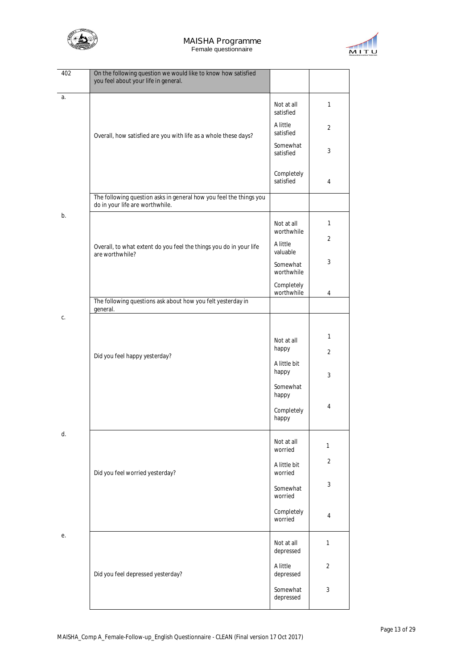



| 402 | On the following question we would like to know how satisfied<br>you feel about your life in general.             |                                                                   |                                |
|-----|-------------------------------------------------------------------------------------------------------------------|-------------------------------------------------------------------|--------------------------------|
| a.  |                                                                                                                   | Not at all<br>satisfied                                           | 1                              |
|     | A little<br>satisfied<br>Overall, how satisfied are you with life as a whole these days?<br>Somewhat<br>satisfied |                                                                   | $\overline{2}$                 |
|     |                                                                                                                   |                                                                   | 3                              |
|     |                                                                                                                   | Completely<br>satisfied                                           | 4                              |
|     | The following question asks in general how you feel the things you<br>do in your life are worthwhile.             |                                                                   |                                |
| b.  |                                                                                                                   | Not at all<br>worthwhile                                          | $\mathbf{1}$<br>$\overline{2}$ |
|     | Overall, to what extent do you feel the things you do in your life<br>are worthwhile?                             | A little<br>valuable                                              | 3                              |
|     |                                                                                                                   | Somewhat<br>worthwhile                                            |                                |
|     | The following questions ask about how you felt yesterday in                                                       | Completely<br>worthwhile                                          | 4                              |
| C.  | general.                                                                                                          |                                                                   |                                |
|     | Did you feel happy yesterday?                                                                                     | Not at all<br>happy<br>A little bit<br>happy<br>Somewhat<br>happy | 1<br>$\overline{2}$<br>3       |
|     |                                                                                                                   | Completely<br>happy                                               | 4                              |
| d.  |                                                                                                                   | Not at all<br>worried                                             | 1                              |
|     | Did you feel worried yesterday?                                                                                   | A little bit<br>worried                                           | $\overline{2}$                 |
|     |                                                                                                                   | Somewhat<br>worried                                               | 3                              |
|     |                                                                                                                   | Completely<br>worried                                             | 4                              |
| е.  |                                                                                                                   | Not at all<br>depressed                                           | 1                              |
|     | Did you feel depressed yesterday?                                                                                 | A little<br>depressed                                             | 2                              |
|     |                                                                                                                   | Somewhat<br>depressed                                             | 3                              |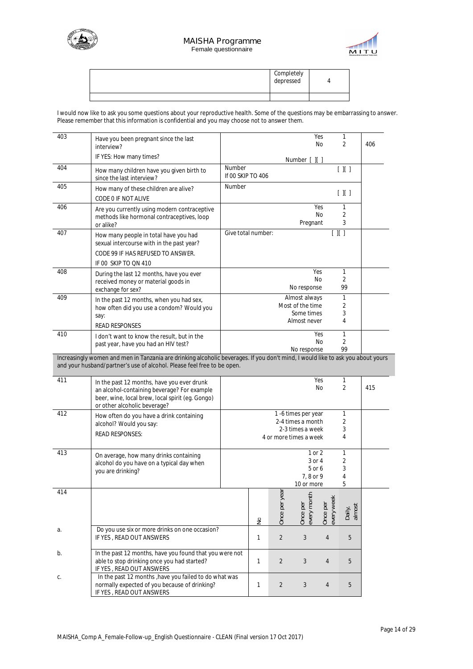



| Completely<br>depressed |  |
|-------------------------|--|
|                         |  |

I would now like to ask you some questions about your reproductive health. Some of the questions may be embarrassing to answer. Please remember that this information is confidential and you may choose not to answer them.

| 403 | Have you been pregnant since the last<br>interview?                                                                                                                                                        |                             |               |                |                                                                 | Yes<br>No.             | 1<br>2                    | 406 |
|-----|------------------------------------------------------------------------------------------------------------------------------------------------------------------------------------------------------------|-----------------------------|---------------|----------------|-----------------------------------------------------------------|------------------------|---------------------------|-----|
|     | IF YES: How many times?                                                                                                                                                                                    |                             |               |                | Number [ ][ ]                                                   |                        |                           |     |
| 404 | How many children have you given birth to<br>since the last interview?                                                                                                                                     | Number<br>If 00 SKIP TO 406 |               |                |                                                                 |                        | $[$ $]$ $[$ $]$           |     |
| 405 | How many of these children are alive?                                                                                                                                                                      | Number                      |               |                |                                                                 |                        | $[$ $]$ $[$ $]$           |     |
|     | CODE 0 IF NOT ALIVE                                                                                                                                                                                        |                             |               |                |                                                                 |                        |                           |     |
| 406 | Are you currently using modern contraceptive<br>methods like hormonal contraceptives, loop<br>or alike?                                                                                                    |                             |               |                | Pregnant                                                        | Yes<br>No              | 1<br>2<br>3               |     |
| 407 | How many people in total have you had<br>sexual intercourse with in the past year?<br>CODE 99 IF HAS REFUSED TO ANSWER.<br>IF 00 SKIP TO QN 410                                                            | Give total number:          |               |                |                                                                 |                        | $[ \ \ ] [ \ \ ]$         |     |
| 408 | During the last 12 months, have you ever<br>received money or material goods in<br>exchange for sex?                                                                                                       |                             |               |                | No response                                                     | Yes<br>No              | 1<br>2<br>99              |     |
| 409 | In the past 12 months, when you had sex,<br>how often did you use a condom? Would you<br>say:<br><b>READ RESPONSES</b>                                                                                     |                             |               |                | Almost always<br>Most of the time<br>Some times<br>Almost never |                        | 1<br>2<br>3<br>4          |     |
| 410 | I don't want to know the result, but in the<br>past year, have you had an HIV test?                                                                                                                        |                             |               |                | No response                                                     | Yes<br>No              | 1<br>$\overline{2}$<br>99 |     |
|     | Increasingly women and men in Tanzania are drinking alcoholic beverages. If you don't mind, I would like to ask you about yours<br>and your husband/partner's use of alcohol. Please feel free to be open. |                             |               |                |                                                                 |                        |                           |     |
| 411 | In the past 12 months, have you ever drunk<br>an alcohol-containing beverage? For example<br>beer, wine, local brew, local spirit (eg. Gongo)<br>or other alcoholic beverage?                              |                             |               |                |                                                                 | Yes<br>No              | 1<br>2                    | 415 |
| 412 | How often do you have a drink containing                                                                                                                                                                   |                             |               |                | 1 -6 times per year<br>2-4 times a month                        |                        | 1<br>2                    |     |
|     | alcohol? Would you say:<br><b>READ RESPONSES:</b>                                                                                                                                                          |                             |               |                | 2-3 times a week<br>4 or more times a week                      |                        | 3<br>4                    |     |
| 413 | On average, how many drinks containing<br>alcohol do you have on a typical day when<br>you are drinking?                                                                                                   |                             |               |                | 1 or 2<br>3 or 4<br>5 or 6<br>7, 8 or 9<br>10 or more           |                        | 1<br>2<br>3<br>4<br>5     |     |
| 414 |                                                                                                                                                                                                            |                             | $\frac{1}{2}$ | Once per year  | every month<br>Once per                                         | every week<br>Once per | Daily,<br>almost          |     |
| а.  | Do you use six or more drinks on one occasion?<br>IF YES, READ OUT ANSWERS                                                                                                                                 |                             | 1             | $\overline{2}$ | 3                                                               | $\overline{4}$         | 5                         |     |
| b.  | In the past 12 months, have you found that you were not<br>able to stop drinking once you had started?<br>IF YES, READ OUT ANSWERS                                                                         |                             | 1             | $\overline{2}$ | 3                                                               | $\overline{4}$         | 5                         |     |
| С.  | In the past 12 months , have you failed to do what was<br>normally expected of you because of drinking?<br>IF YES, READ OUT ANSWERS                                                                        |                             | 1             | $\overline{2}$ | 3                                                               | 4                      | 5                         |     |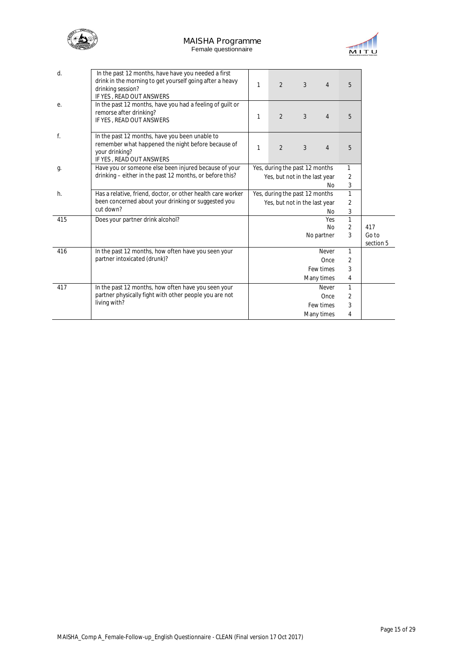



| d.  | In the past 12 months, have have you needed a first<br>drink in the morning to get yourself going after a heavy<br>drinking session?<br>IF YES, READ OUT ANSWERS | 1 | $\overline{2}$                 | 3 | $\overline{4}$ | 5              |                    |
|-----|------------------------------------------------------------------------------------------------------------------------------------------------------------------|---|--------------------------------|---|----------------|----------------|--------------------|
| е.  | In the past 12 months, have you had a feeling of guilt or<br>remorse after drinking?<br>IF YES, READ OUT ANSWERS                                                 | 1 | $\overline{2}$                 | 3 | $\overline{4}$ | 5              |                    |
| f.  | In the past 12 months, have you been unable to<br>remember what happened the night before because of<br>your drinking?<br>IF YES, READ OUT ANSWERS               | 1 | $\overline{2}$                 | 3 | $\overline{4}$ | 5              |                    |
| g.  | Have you or someone else been injured because of your                                                                                                            |   | Yes, during the past 12 months |   |                | 1              |                    |
|     | drinking – either in the past 12 months, or before this?                                                                                                         |   | Yes, but not in the last year  |   |                | 2              |                    |
|     |                                                                                                                                                                  |   |                                |   | No             | 3              |                    |
| h.  | Has a relative, friend, doctor, or other health care worker                                                                                                      |   | Yes, during the past 12 months |   |                | $\mathbf{1}$   |                    |
|     | been concerned about your drinking or suggested you                                                                                                              |   | Yes, but not in the last year  |   |                | $\overline{2}$ |                    |
|     | cut down?                                                                                                                                                        |   |                                |   | No             | 3              |                    |
| 415 | Does your partner drink alcohol?                                                                                                                                 |   |                                |   | Yes            | $\mathbf{1}$   |                    |
|     |                                                                                                                                                                  |   |                                |   | N <sub>o</sub> | $\overline{2}$ | 417                |
|     |                                                                                                                                                                  |   |                                |   | No partner     | 3              | Go to<br>section 5 |
| 416 | In the past 12 months, how often have you seen your                                                                                                              |   |                                |   | Never          | $\mathbf{1}$   |                    |
|     | partner intoxicated (drunk)?                                                                                                                                     |   |                                |   | Once           | 2              |                    |
|     |                                                                                                                                                                  |   |                                |   | Few times      | 3              |                    |
|     |                                                                                                                                                                  |   |                                |   | Many times     | 4              |                    |
| 417 | In the past 12 months, how often have you seen your                                                                                                              |   |                                |   | Never          | $\mathbf{1}$   |                    |
|     | partner physically fight with other people you are not                                                                                                           |   |                                |   | Once           | 2              |                    |
|     | living with?                                                                                                                                                     |   |                                |   | Few times      | 3              |                    |
|     |                                                                                                                                                                  |   |                                |   | Many times     | 4              |                    |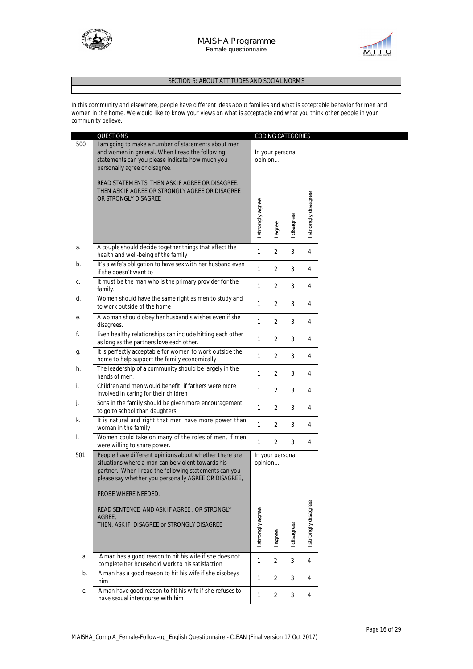



### **SECTION 5: ABOUT ATTITUDES AND SOCIAL NORMS**

In this community and elsewhere, people have different ideas about families and what is acceptable behavior for men and women in the home. We would like to know your views on what is acceptable and what you think other people in your community believe.

|     | <b>QUESTIONS</b>                                                                                                                                                                                                             |                  | CODING CATEGORIES |            |                     |
|-----|------------------------------------------------------------------------------------------------------------------------------------------------------------------------------------------------------------------------------|------------------|-------------------|------------|---------------------|
| 500 | I am going to make a number of statements about men<br>and women in general. When I read the following<br>statements can you please indicate how much you<br>personally agree or disagree.                                   | opinion          | In your personal  |            |                     |
|     | READ STATEMENTS, THEN ASK IF AGREE OR DISAGREE.<br>THEN ASK IF AGREE OR STRONGLY AGREE OR DISAGREE<br>OR STRONGLY DISAGREE                                                                                                   | I strongly agree | agree             | I disagree | I strongly disagree |
| а.  | A couple should decide together things that affect the<br>health and well-being of the family                                                                                                                                | $\mathbf{1}$     | 2                 | 3          | $\overline{4}$      |
| b.  | It's a wife's obligation to have sex with her husband even<br>if she doesn't want to                                                                                                                                         | $\mathbf{1}$     | 2                 | 3          | 4                   |
| С.  | It must be the man who is the primary provider for the<br>family.                                                                                                                                                            | $\mathbf{1}$     | 2                 | 3          | 4                   |
| d.  | Women should have the same right as men to study and<br>to work outside of the home                                                                                                                                          | $\mathbf{1}$     | 2                 | 3          | 4                   |
| е.  | A woman should obey her husband's wishes even if she<br>disagrees.                                                                                                                                                           | $\mathbf{1}$     | 2                 | 3          | 4                   |
| f.  | Even healthy relationships can include hitting each other<br>as long as the partners love each other.                                                                                                                        | $\mathbf{1}$     | 2                 | 3          | 4                   |
| g.  | It is perfectly acceptable for women to work outside the<br>home to help support the family economically                                                                                                                     | 1                | $\overline{2}$    | 3          | 4                   |
| h.  | The leadership of a community should be largely in the<br>hands of men.                                                                                                                                                      | 1                | 2                 | 3          | 4                   |
| i.  | Children and men would benefit, if fathers were more<br>involved in caring for their children                                                                                                                                | $\mathbf{1}$     | 2                 | 3          | 4                   |
| j.  | Sons in the family should be given more encouragement<br>to go to school than daughters                                                                                                                                      | $\mathbf{1}$     | 2                 | 3          | 4                   |
| k.  | It is natural and right that men have more power than<br>woman in the family                                                                                                                                                 | $\mathbf{1}$     | 2                 | 3          | 4                   |
| I.  | Women could take on many of the roles of men, if men<br>were willing to share power.                                                                                                                                         | $\mathbf{1}$     | $\overline{2}$    | 3          | 4                   |
| 501 | People have different opinions about whether there are<br>situations where a man can be violent towards his<br>partner. When I read the following statements can you<br>please say whether you personally AGREE OR DISAGREE, | opinion          | In your personal  |            |                     |
|     | PROBE WHERE NEEDED.<br>READ SENTENCE AND ASK IF AGREE, OR STRONGLY<br>AGREE,<br>THEN, ASK IF DISAGREE or STRONGLY DISAGREE                                                                                                   | I strongly agree | l agree           | I disagree | I strongly disagree |
| a.  | A man has a good reason to hit his wife if she does not<br>complete her household work to his satisfaction                                                                                                                   | $\mathbf{1}$     | $\overline{2}$    | 3          | $\overline{4}$      |
| b.  | A man has a good reason to hit his wife if she disobeys<br>him                                                                                                                                                               | $\mathbf{1}$     | 2                 | 3          | 4                   |
| C.  | A man have good reason to hit his wife if she refuses to<br>have sexual intercourse with him                                                                                                                                 | $\mathbf{1}$     | $\overline{2}$    | 3          | 4                   |
|     |                                                                                                                                                                                                                              |                  |                   |            |                     |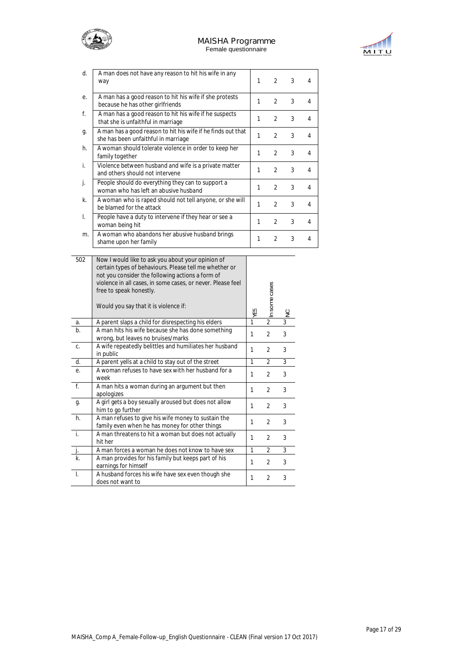# **MAISHA Programme**



Female questionnaire



| d. | A man does not have any reason to hit his wife in any<br>way                                        | 1 | $\mathfrak{D}$ | 3 | 4 |
|----|-----------------------------------------------------------------------------------------------------|---|----------------|---|---|
| е. | A man has a good reason to hit his wife if she protests<br>because he has other girlfriends         | 1 | $\mathfrak{D}$ | 3 | 4 |
| f. | A man has a good reason to hit his wife if he suspects<br>that she is unfaithful in marriage        | 1 | $\mathfrak{D}$ | 3 | 4 |
| g. | A man has a good reason to hit his wife if he finds out that<br>she has been unfaithful in marriage | 1 | $\mathfrak{D}$ | 3 | 4 |
| h. | A woman should tolerate violence in order to keep her<br>family together                            | 1 | $\mathfrak{D}$ | 3 | 4 |
| i. | Violence between husband and wife is a private matter<br>and others should not intervene            | 1 | $\mathfrak{D}$ | 3 | 4 |
| j. | People should do everything they can to support a<br>woman who has left an abusive husband          | 1 | $\mathfrak{D}$ | 3 | 4 |
| k. | A woman who is raped should not tell anyone, or she will<br>be blamed for the attack                | 1 | $\mathfrak{D}$ | 3 | 4 |
| I. | People have a duty to intervene if they hear or see a<br>woman being hit                            | 1 | $\mathfrak{D}$ | 3 | 4 |
| m. | A woman who abandons her abusive husband brings<br>shame upon her family                            | 1 | $\mathfrak{D}$ | 3 | 4 |

| 502            | Now I would like to ask you about your opinion of<br>certain types of behaviours. Please tell me whether or<br>not you consider the following actions a form of<br>violence in all cases, in some cases, or never. Please feel<br>free to speak honestly.<br>Would you say that it is violence if: | YES | In some cases  | $\frac{1}{2}$  |
|----------------|----------------------------------------------------------------------------------------------------------------------------------------------------------------------------------------------------------------------------------------------------------------------------------------------------|-----|----------------|----------------|
| a.             | A parent slaps a child for disrespecting his elders                                                                                                                                                                                                                                                | 1   | $\overline{2}$ | $\overline{3}$ |
| $b$            | A man hits his wife because she has done something<br>wrong, but leaves no bruises/marks                                                                                                                                                                                                           | 1   | $\overline{2}$ | 3              |
| C.             | A wife repeatedly belittles and humiliates her husband<br>in public                                                                                                                                                                                                                                | 1   | $\overline{2}$ | 3              |
| d.             | A parent yells at a child to stay out of the street                                                                                                                                                                                                                                                | 1   | $\overline{2}$ | 3              |
| е.             | A woman refuses to have sex with her husband for a<br>week                                                                                                                                                                                                                                         | 1   | $\overline{2}$ | 3              |
| $f_{\cdot}$    | A man hits a woman during an argument but then<br>apologizes                                                                                                                                                                                                                                       | 1   | $\overline{2}$ | 3              |
| g.             | A girl gets a boy sexually aroused but does not allow<br>him to go further                                                                                                                                                                                                                         | 1   | $\overline{2}$ | 3              |
| h.             | A man refuses to give his wife money to sustain the<br>family even when he has money for other things                                                                                                                                                                                              | 1   | $\overline{2}$ | 3              |
| j.             | A man threatens to hit a woman but does not actually<br>hit her                                                                                                                                                                                                                                    | 1   | $\overline{2}$ | 3              |
|                | A man forces a woman he does not know to have sex                                                                                                                                                                                                                                                  | 1   | 2              | 3              |
| $\mathsf{k}$ . | A man provides for his family but keeps part of his<br>earnings for himself                                                                                                                                                                                                                        | 1   | $\overline{2}$ | 3              |
| $\blacksquare$ | A husband forces his wife have sex even though she<br>does not want to                                                                                                                                                                                                                             | 1   | $\overline{2}$ | 3              |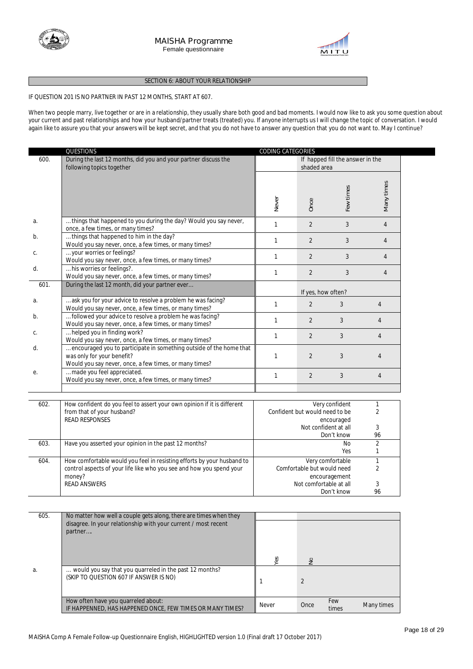



#### **SECTION 6: ABOUT YOUR RELATIONSHIP**

#### **IF QUESTION 201 IS NO PARTNER IN PAST 12 MONTHS, START AT 607.**

When two people marry, live together or are in a relationship, they usually share both good and bad moments. I would now like to ask you some question about your current and past relationships and how your husband/partner treats (treated) you. If anyone interrupts us I will change the topic of conversation. I would again like to assure you that your answers will be kept secret, and that you do not have to answer any question that you do not want to. May I continue?

|      | QUESTIONS                                                                                                                                                          | CODING CATEGORIES |                                  |                              |                     |
|------|--------------------------------------------------------------------------------------------------------------------------------------------------------------------|-------------------|----------------------------------|------------------------------|---------------------|
| 600. | During the last 12 months, did you and your partner discuss the<br>following topics together                                                                       |                   | If happed fill the answer in the |                              |                     |
|      |                                                                                                                                                                    | Never             | Once                             | Few times                    | Many times          |
| a.   | things that happened to you during the day? Would you say never,<br>once, a few times, or many times?                                                              | $\mathbf{1}$      | $\overline{2}$                   | 3                            | $\overline{4}$      |
| b.   | things that happened to him in the day?<br>Would you say never, once, a few times, or many times?                                                                  | 1                 | $\overline{2}$                   | 3                            | 4                   |
| С.   | your worries or feelings?<br>Would you say never, once, a few times, or many times?                                                                                | 1                 | $\overline{2}$                   | 3                            | $\overline{4}$      |
| d.   | his worries or feelings?.<br>Would you say never, once, a few times, or many times?                                                                                | $\mathbf{1}$      | $\overline{2}$                   | 3                            | $\overline{4}$      |
| 601. | During the last 12 month, did your partner ever                                                                                                                    |                   | If yes, how often?               |                              |                     |
| a.   | ask you for your advice to resolve a problem he was facing?<br>Would you say never, once, a few times, or many times?                                              | 1                 | $\overline{2}$                   | 3                            | $\overline{4}$      |
| b.   | followed your advice to resolve a problem he was facing?<br>Would you say never, once, a few times, or many times?                                                 | 1                 | 2                                | 3                            | $\overline{4}$      |
| С.   | helped you in finding work?<br>Would you say never, once, a few times, or many times?                                                                              | 1                 | $\overline{2}$                   | 3                            | 4                   |
| d.   | encouraged you to participate in something outside of the home that<br>was only for <i>your</i> benefit?<br>Would you say never, once, a few times, or many times? | 1                 | $\overline{2}$                   | 3                            | 4                   |
| e.   | made you feel appreciated.<br>Would you say never, once, a few times, or many times?                                                                               | $\mathbf{1}$      | $\overline{2}$                   | 3                            | $\overline{4}$      |
|      |                                                                                                                                                                    |                   |                                  |                              |                     |
| 602. | How confident do you feel to assert your own opinion if it is different<br>from that of your husband?<br><b>READ RESPONSES</b>                                     |                   | Confident but would need to be   | Very confident<br>encouraged | 1<br>2              |
|      |                                                                                                                                                                    |                   | Not confident at all             | Don't know                   | 3<br>96             |
| 603. | Have you asserted your opinion in the past 12 months?                                                                                                              |                   |                                  | <b>No</b><br>Yes             | $\overline{2}$<br>1 |
|      |                                                                                                                                                                    |                   |                                  |                              |                     |

| 604. | How comfortable would you feel in resisting efforts by your husband to | Very comfortable           |    |  |
|------|------------------------------------------------------------------------|----------------------------|----|--|
|      | control aspects of your life like who you see and how you spend your   | Comfortable but would need |    |  |
|      | money?                                                                 | encouragement              |    |  |
|      | <b>READ ANSWERS</b>                                                    | Not comfortable at all     |    |  |
|      |                                                                        | Don't know                 | 96 |  |

| 605. | No matter how well a couple gets along, there are times when they                                 |       |      |              |            |
|------|---------------------------------------------------------------------------------------------------|-------|------|--------------|------------|
|      | disagree. In your relationship with your current / most recent<br>partner                         | හි    | S    |              |            |
| a.   | would you say that you quarreled in the past 12 months?<br>(SKIP TO QUESTION 607 IF ANSWER IS NO) |       |      |              |            |
|      | How often have you quarreled about:<br>IF HAPPENNED, HAS HAPPENED ONCE, FEW TIMES OR MANY TIMES?  | Never | Once | Few<br>times | Many times |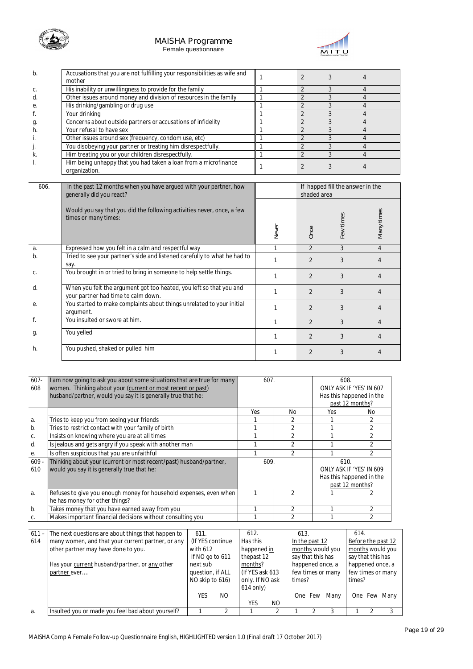



| b. | Accusations that you are not fulfilling your responsibilities as wife and<br>mother |  |  |
|----|-------------------------------------------------------------------------------------|--|--|
| C. | His inability or unwillingness to provide for the family                            |  |  |
| d. | Other issues around money and division of resources in the family                   |  |  |
| е. | His drinking/gambling or drug use                                                   |  |  |
|    | Your drinking                                                                       |  |  |
| g. | Concerns about outside partners or accusations of infidelity                        |  |  |
| h. | Your refusal to have sex                                                            |  |  |
|    | Other issues around sex (frequency, condom use, etc)                                |  |  |
|    | You disobeying your partner or treating him disrespectfully.                        |  |  |
| k. | Him treating you or your children disrespectfully.                                  |  |  |
|    | Him being unhappy that you had taken a loan from a microfinance<br>organization.    |  |  |

| 606. | In the past 12 months when you have argued with your partner, how<br>qenerally did you react?              |       | shaded area    | If happed fill the answer in the |                |
|------|------------------------------------------------------------------------------------------------------------|-------|----------------|----------------------------------|----------------|
|      | Would you say that you did the following activities never, once, a few<br>times or many times:             | Never | Once           | -ew times                        | Many times     |
| a.   | Expressed how you felt in a calm and respectful way                                                        |       | $\overline{2}$ | 3                                | $\overline{4}$ |
| b.   | Tried to see your partner's side and listened carefully to what he had to<br>say.                          |       | $\overline{2}$ | 3                                |                |
| C.   | You brought in or tried to bring in someone to help settle things.                                         |       | $\mathfrak{D}$ | 3                                | 4              |
| d.   | When you felt the argument got too heated, you left so that you and<br>your partner had time to calm down. |       | $\overline{2}$ | 3                                | 4              |
| е.   | You started to make complaints about things unrelated to your initial<br>argument.                         |       | $\mathfrak{D}$ | 3                                |                |
|      | You insulted or swore at him.                                                                              |       | $\mathfrak{D}$ | 3                                | 4              |
| g.   | You yelled                                                                                                 |       | $\mathfrak{D}$ | 3                                |                |
| h.   | You pushed, shaked or pulled him                                                                           |       | $\overline{2}$ | 3                                | 4              |

| $607 -$<br>608 | I am now going to ask you about some situations that are true for many<br>women. Thinking about your (current or most recent or past)<br>husband/partner, would you say it is generally true that he: | 607. |                | 608.            | ONLY ASK IF 'YES' IN 607<br>Has this happened in the                    |  |
|----------------|-------------------------------------------------------------------------------------------------------------------------------------------------------------------------------------------------------|------|----------------|-----------------|-------------------------------------------------------------------------|--|
|                |                                                                                                                                                                                                       |      |                | past 12 months? |                                                                         |  |
|                |                                                                                                                                                                                                       | Yes  | No             | Yes             | No.                                                                     |  |
| a.             | Tries to keep you from seeing your friends                                                                                                                                                            |      |                |                 |                                                                         |  |
| b.             | Tries to restrict contact with your family of birth                                                                                                                                                   |      | 2              |                 | $\overline{2}$                                                          |  |
| C.             | Insists on knowing where you are at all times                                                                                                                                                         |      | $\overline{2}$ |                 | $\overline{2}$                                                          |  |
| d.             | Is jealous and gets angry if you speak with another man                                                                                                                                               |      | 2              |                 | $\overline{2}$                                                          |  |
| е.             | Is often suspicious that you are unfaithful                                                                                                                                                           |      | $\mathfrak{D}$ |                 | $\mathfrak{D}$                                                          |  |
| $609 -$<br>610 | Thinking about your (current or most recent/past) husband/partner,<br>would you say it is generally true that he:                                                                                     | 609. |                |                 | ONLY ASK IF 'YES' IN 609<br>Has this happened in the<br>past 12 months? |  |
| a.             | Refuses to give you enough money for household expenses, even when<br>he has money for other things?                                                                                                  |      |                |                 |                                                                         |  |
| $b$ .          | Takes money that you have earned away from you                                                                                                                                                        |      | 2              |                 | $\overline{2}$                                                          |  |
|                | Makes important financial decisions without consulting you                                                                                                                                            |      | 2              |                 | $\overline{2}$                                                          |  |
|                |                                                                                                                                                                                                       |      |                |                 |                                                                         |  |

| $611 -$ | The next questions are about things that happen to | 611.             |     | 612.             |     | 613.              |     |                   | 614.               |  |              |
|---------|----------------------------------------------------|------------------|-----|------------------|-----|-------------------|-----|-------------------|--------------------|--|--------------|
| 614     | many women, and that your current partner, or any  | (If YES continue |     | Has this         |     | In the past 12    |     |                   | Before the past 12 |  |              |
|         | other partner may have done to you.                | with 612         |     | happened in      |     | months would you  |     | months would you  |                    |  |              |
|         |                                                    | If NO go to 611  |     | thepast 12       |     | say that this has |     |                   | say that this has  |  |              |
|         | Has your current husband/partner, or any other     | next sub         |     | months?          |     | happened once, a  |     |                   | happened once, a   |  |              |
|         | partner ever                                       | question, if ALL |     | (If YES ask 613) |     | few times or many |     | few times or many |                    |  |              |
|         |                                                    | NO skip to 616)  |     | only. If NO ask  |     | times?            |     |                   | times?             |  |              |
|         |                                                    |                  |     | $614$ only)      |     |                   |     |                   |                    |  |              |
|         |                                                    | YES              | NO. |                  |     | One.              | Few | Manv              |                    |  | One Few Many |
|         |                                                    |                  |     | YES              | NO. |                   |     |                   |                    |  |              |
| a.      | Insulted you or made you feel bad about yourself?  |                  |     |                  |     |                   |     |                   |                    |  |              |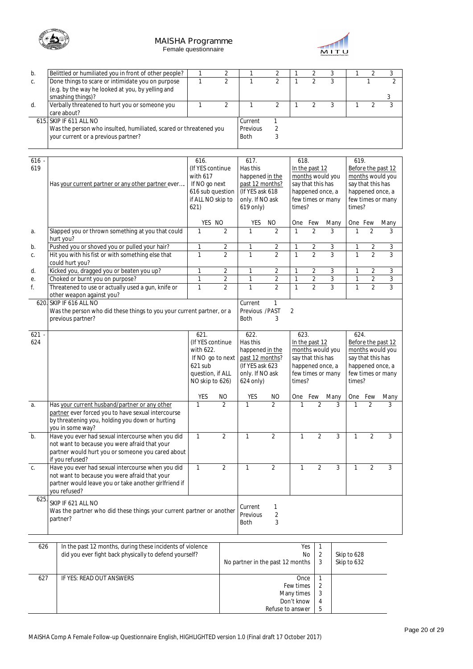





| b.   | Belittled or humiliated you in front of other people?                 | $\mathbf{1}$      | $\overline{2}$ | 1                                  | 2                       | $\mathbf{1}$            | $\sqrt{2}$           | 3                 | 1            | $\overline{2}$    | 3                  |
|------|-----------------------------------------------------------------------|-------------------|----------------|------------------------------------|-------------------------|-------------------------|----------------------|-------------------|--------------|-------------------|--------------------|
| C.   | Done things to scare or intimidate you on purpose                     | $\mathbf{1}$      | $\overline{2}$ | 1                                  | $\overline{2}$          | $\mathbf{1}$            | $\overline{2}$       | $\overline{3}$    |              | 1                 | $\overline{2}$     |
|      | (e.g. by the way he looked at you, by yelling and                     |                   |                |                                    |                         |                         |                      |                   |              |                   |                    |
|      | smashing things)?                                                     |                   |                |                                    |                         |                         |                      |                   |              |                   | 3                  |
| d.   | Verbally threatened to hurt you or someone you                        | $\mathbf{1}$      | $\overline{2}$ | $\mathbf{1}$                       | $\overline{2}$          | $\mathbf{1}$            | $\overline{2}$       | 3                 | $\mathbf{1}$ | $\overline{2}$    | 3                  |
|      | care about?                                                           |                   |                |                                    |                         |                         |                      |                   |              |                   |                    |
|      | 615. SKIP IF 611 ALL NO                                               |                   |                | Current                            | 1                       |                         |                      |                   |              |                   |                    |
|      | Was the person who insulted, humiliated, scared or threatened you     |                   |                | Previous                           | $\overline{2}$          |                         |                      |                   |              |                   |                    |
|      | your current or a previous partner?                                   |                   |                | <b>Both</b>                        | 3                       |                         |                      |                   |              |                   |                    |
|      |                                                                       |                   |                |                                    |                         |                         |                      |                   |              |                   |                    |
|      |                                                                       |                   |                |                                    |                         |                         |                      |                   |              |                   |                    |
| 616  |                                                                       | 616.              |                | 617.                               |                         | 618.                    |                      |                   | 619.         |                   |                    |
| 619  |                                                                       | (If YES continue  |                | Has this                           |                         |                         | In the past 12       |                   |              |                   | Before the past 12 |
|      |                                                                       | with 617          |                | happened in the                    |                         |                         |                      | months would you  |              |                   | months would you   |
|      | Has your current partner or any other partner ever                    | If NO go next     |                | past 12 months?                    |                         |                         | say that this has    |                   |              | say that this has |                    |
|      |                                                                       | 616 sub question  |                | (If YES ask 618                    |                         |                         |                      | happened once, a  |              |                   | happened once, a   |
|      |                                                                       | if ALL NO skip to |                | only. If NO ask                    |                         |                         |                      | few times or many |              |                   | few times or many  |
|      |                                                                       | 621)              |                | 619 only)                          |                         | times?                  |                      |                   | times?       |                   |                    |
|      |                                                                       |                   |                |                                    |                         |                         |                      |                   |              |                   |                    |
|      |                                                                       | YES NO            |                | YES                                | NO.                     | One                     | Few                  | Many              |              | One Few           | Many               |
| а.   | Slapped you or thrown something at you that could                     | 1                 | $\overline{2}$ | 1                                  | $\overline{2}$          | $\mathbf{1}$            | $\overline{2}$       | 3                 | 1            | $\overline{2}$    | 3                  |
|      | hurt you?                                                             |                   |                |                                    |                         |                         |                      |                   |              |                   |                    |
| b.   | Pushed you or shoved you or pulled your hair?                         | 1                 | 2              | 1                                  | 2                       | 1                       | 2                    | 3                 | 1            | 2                 | 3                  |
| С.   | Hit you with his fist or with something else that                     | 1                 | $\overline{2}$ | $\mathbf{1}$                       | $\overline{2}$          | $\mathbf{1}$            | $\overline{2}$       | 3                 | $\mathbf{1}$ | $\overline{2}$    | 3                  |
|      | could hurt you?                                                       |                   |                |                                    |                         |                         |                      |                   |              |                   |                    |
| d.   | Kicked you, dragged you or beaten you up?                             | 1                 | 2              | $\mathbf{1}$                       | $\overline{2}$          | $\mathbf{1}$            | $\overline{2}$       | 3                 | $\mathbf{1}$ | $\overline{2}$    | 3                  |
| е.   | Choked or burnt you on purpose?                                       | 1                 | 2              | $\mathbf{1}$                       | 2                       | 1                       | 2                    | 3                 | 1            | 2                 | 3                  |
| f.   | Threatened to use or actually used a gun, knife or                    | $\mathbf{1}$      | $\overline{2}$ | $\mathbf{1}$                       | $\overline{2}$          | $\mathbf{1}$            | $\overline{2}$       | $\overline{3}$    | 1            | $\overline{2}$    | $\overline{3}$     |
|      | other weapon against you?                                             |                   |                |                                    |                         |                         |                      |                   |              |                   |                    |
|      | 620. SKIP IF 616 ALL NO                                               |                   |                | Current                            | 1                       |                         |                      |                   |              |                   |                    |
|      | Was the person who did these things to you your current partner, or a |                   |                | Previous /PAST                     |                         | 2                       |                      |                   |              |                   |                    |
|      | previous partner?                                                     |                   |                | <b>Both</b>                        | 3                       |                         |                      |                   |              |                   |                    |
|      |                                                                       |                   |                |                                    |                         |                         |                      |                   |              |                   |                    |
| 621. |                                                                       | 621.              |                | 622.                               |                         | 623.                    |                      |                   | 624.         |                   |                    |
|      |                                                                       |                   |                |                                    |                         |                         |                      |                   |              |                   |                    |
| 624  |                                                                       | (If YES continue  |                | Has this                           |                         |                         |                      |                   |              |                   | Before the past 12 |
|      |                                                                       | with 622.         |                |                                    |                         | In the past 12          |                      |                   |              |                   |                    |
|      |                                                                       | If NO go to next  |                | happened in the                    |                         |                         |                      | months would you  |              |                   | months would you   |
|      |                                                                       | 621 sub           |                | past 12 months?<br>(If YES ask 623 |                         |                         | say that this has    | happened once, a  |              | say that this has | happened once, a   |
|      |                                                                       | question, if ALL  |                | only. If NO ask                    |                         |                         |                      | few times or many |              |                   | few times or many  |
|      |                                                                       | NO skip to 626)   |                | 624 only)                          |                         | times?                  |                      |                   | times?       |                   |                    |
|      |                                                                       |                   |                |                                    |                         |                         |                      |                   |              |                   |                    |
|      |                                                                       | YES               | NO             | YES                                | NO                      |                         | One Few              | Many              |              | One Few           | Many               |
| а.   | Has your current husband/partner or any other                         | 1                 | $\overline{2}$ | 1                                  | $\overline{2}$          | 1                       | $\overline{2}$       | 3                 | 1            | $\overline{2}$    | 3                  |
|      | partner ever forced you to have sexual intercourse                    |                   |                |                                    |                         |                         |                      |                   |              |                   |                    |
|      | by threatening you, holding you down or hurting                       |                   |                |                                    |                         |                         |                      |                   |              |                   |                    |
|      | you in some way?                                                      |                   |                |                                    |                         |                         |                      |                   |              |                   |                    |
| b.   | Have you ever had sexual intercourse when you did                     | 1                 | 2              | 1                                  | 2                       | 1                       | 2                    | 3                 | 1            | 2                 | 3                  |
|      | not want to because you were afraid that your                         |                   |                |                                    |                         |                         |                      |                   |              |                   |                    |
|      | partner would hurt you or someone you cared about                     |                   |                |                                    |                         |                         |                      |                   |              |                   |                    |
|      | if you refused?                                                       |                   |                |                                    |                         |                         |                      |                   |              |                   |                    |
| C.   | Have you ever had sexual intercourse when you did                     | $\mathbf{1}$      | $\overline{2}$ | $\mathbf{1}$                       | $\overline{2}$          | $\mathbf{1}$            | 2                    | $\overline{3}$    | 1            | $\overline{2}$    | 3                  |
|      | not want to because you were afraid that your                         |                   |                |                                    |                         |                         |                      |                   |              |                   |                    |
|      | partner would leave you or take another girlfriend if                 |                   |                |                                    |                         |                         |                      |                   |              |                   |                    |
|      | you refused?                                                          |                   |                |                                    |                         |                         |                      |                   |              |                   |                    |
| 625. |                                                                       |                   |                |                                    |                         |                         |                      |                   |              |                   |                    |
|      | SKIP IF 621 ALL NO                                                    |                   |                | Current                            | 1                       |                         |                      |                   |              |                   |                    |
|      | Was the partner who did these things your current partner or another  |                   |                | Previous                           | $\overline{\mathbf{c}}$ |                         |                      |                   |              |                   |                    |
|      | partner?                                                              |                   |                | Both                               | 3                       |                         |                      |                   |              |                   |                    |
|      |                                                                       |                   |                |                                    |                         |                         |                      |                   |              |                   |                    |
|      |                                                                       |                   |                |                                    |                         |                         |                      |                   |              |                   |                    |
| 626  | In the past 12 months, during these incidents of violence             |                   |                |                                    |                         |                         | Yes<br>1             |                   |              |                   |                    |
|      | did you ever fight back physically to defend yourself?                |                   |                |                                    |                         |                         | $\overline{2}$<br>No |                   | Skip to 628  |                   |                    |
|      |                                                                       |                   |                | No partner in the past 12 months   |                         |                         | 3                    |                   | Skip to 632  |                   |                    |
|      |                                                                       |                   |                |                                    |                         |                         |                      |                   |              |                   |                    |
| 627  | IF YES: READ OUT ANSWERS                                              |                   |                |                                    |                         | Once                    | 1                    |                   |              |                   |                    |
|      |                                                                       |                   |                |                                    |                         | Few times<br>Many times | 2<br>3               |                   |              |                   |                    |

Many times Don't know Refuse to answer

4 5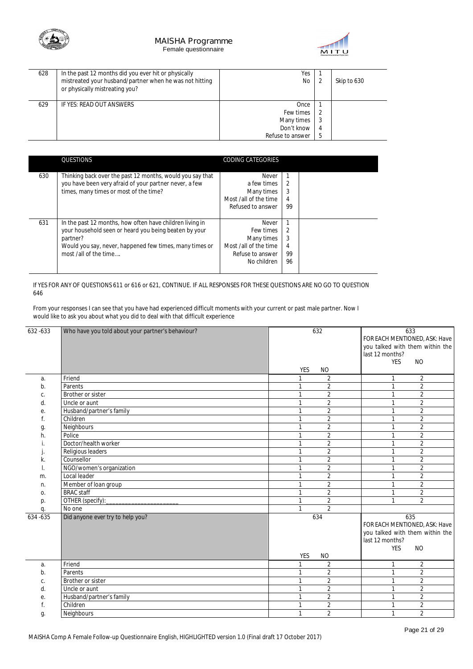



| 628 | In the past 12 months did you ever hit or physically<br>mistreated your husband/partner when he was not hitting<br>or physically mistreating you? | Yes<br>No                                                         |        | Skip to 630 |
|-----|---------------------------------------------------------------------------------------------------------------------------------------------------|-------------------------------------------------------------------|--------|-------------|
| 629 | IF YES: READ OUT ANSWERS                                                                                                                          | Once<br>Few times<br>Many times<br>Don't know<br>Refuse to answer | 4<br>5 |             |

|     | QUESTIONS                                                                                                                                                                                                         | CODING CATEGORIES                                                                            |                                      |  |
|-----|-------------------------------------------------------------------------------------------------------------------------------------------------------------------------------------------------------------------|----------------------------------------------------------------------------------------------|--------------------------------------|--|
| 630 | Thinking back over the past 12 months, would you say that<br>you have been very afraid of your partner never, a few<br>times, many times or most of the time?                                                     | Never<br>a few times<br>Many times<br>Most /all of the time<br>Refused to answer             | 2<br>3<br>4<br>99                    |  |
| 631 | In the past 12 months, how often have children living in<br>your household seen or heard you being beaten by your<br>partner?<br>Would you say, never, happened few times, many times or<br>most /all of the time | Never<br>Few times<br>Many times<br>Most /all of the time<br>Refuse to answer<br>No children | $\mathfrak{D}$<br>3<br>4<br>99<br>96 |  |

If YES FOR ANY OF QUESTIONS 611 or 616 or 621, CONTINUE. IF ALL RESPONSES FOR THESE QUESTIONS ARE NO GO TO QUESTION 646

From your responses I can see that you have had experienced difficult moments with your current or past male partner. Now I would like to ask you about what you did to deal with that difficult experience

| 632-633 | Who have you told about your partner's behaviour? | 632                            | 633                             |
|---------|---------------------------------------------------|--------------------------------|---------------------------------|
|         |                                                   |                                | FOR EACH MENTIONED, ASK: Have   |
|         |                                                   |                                | you talked with them within the |
|         |                                                   |                                | last 12 months?                 |
|         |                                                   |                                | <b>YES</b><br><b>NO</b>         |
|         |                                                   | <b>YES</b><br><b>NO</b>        |                                 |
| a.      | Friend                                            | $\overline{2}$<br>1            | $\overline{2}$<br>$\mathbf{1}$  |
| b.      | Parents                                           | $\overline{2}$<br>1            | $\overline{2}$<br>$\mathbf{1}$  |
| C.      | Brother or sister                                 | $\overline{2}$<br>1            | $\overline{2}$<br>$\mathbf{1}$  |
| d.      | Uncle or aunt                                     | $\overline{2}$<br>$\mathbf{1}$ | $\overline{2}$<br>1             |
| е.      | Husband/partner's family                          | $\overline{2}$<br>$\mathbf{1}$ | $\overline{2}$<br>1             |
| f.      | Children                                          | $\overline{2}$<br>1            | $\overline{2}$<br>$\mathbf{1}$  |
| g.      | Neighbours                                        | $\overline{2}$                 | $\overline{2}$<br>1             |
| h.      | Police                                            | $\overline{2}$<br>$\mathbf{1}$ | $\overline{2}$<br>$\mathbf{1}$  |
|         | Doctor/health worker                              | $\overline{2}$<br>$\mathbf{1}$ | $\overline{2}$<br>$\mathbf{1}$  |
|         | Religious leaders                                 | $\overline{2}$<br>1            | $\overline{2}$<br>1             |
| k.      | Counsellor                                        | $\overline{2}$<br>1            | $\overline{2}$<br>1             |
|         | NGO/women's organization                          | $\overline{2}$<br>$\mathbf{1}$ | $\overline{2}$<br>1             |
| m.      | Local leader                                      | $\overline{2}$<br>$\mathbf{1}$ | $\overline{2}$<br>1             |
| n.      | Member of loan group                              | $\overline{2}$<br>$\mathbf{1}$ | $\overline{2}$<br>1             |
| 0.      | <b>BRAC</b> staff                                 | $\overline{2}$<br>$\mathbf{1}$ | $\overline{2}$<br>1             |
| p.      | OTHER (specify):                                  | $\overline{2}$<br>$\mathbf{1}$ | $\overline{2}$<br>1             |
| q.      | No one                                            | $\overline{2}$<br>1            |                                 |
| 634-635 | Did anyone ever try to help you?                  | 634                            | 635                             |
|         |                                                   |                                | FOR EACH MENTIONED, ASK: Have   |
|         |                                                   |                                | you talked with them within the |
|         |                                                   |                                | last 12 months?                 |
|         |                                                   |                                | <b>YES</b><br><b>NO</b>         |
|         |                                                   | <b>YES</b><br><b>NO</b>        |                                 |
| a.      | Friend                                            | $\overline{2}$                 | $\overline{2}$<br>1             |
| b.      | Parents                                           | $\overline{2}$                 | $\overline{2}$<br>1             |
| C.      | Brother or sister                                 | $\overline{2}$<br>1            | $\overline{2}$<br>1             |
| d.      | Uncle or aunt                                     | $\overline{2}$<br>1            | $\overline{2}$<br>$\mathbf{1}$  |
| е.      | Husband/partner's family                          | $\overline{2}$<br>$\mathbf{1}$ | $\overline{2}$<br>1             |
|         | Children                                          | $\overline{2}$<br>1            | $\overline{2}$<br>1             |
| g.      | Neighbours                                        | $\overline{2}$<br>$\mathbf{1}$ | $\overline{2}$<br>$\mathbf{1}$  |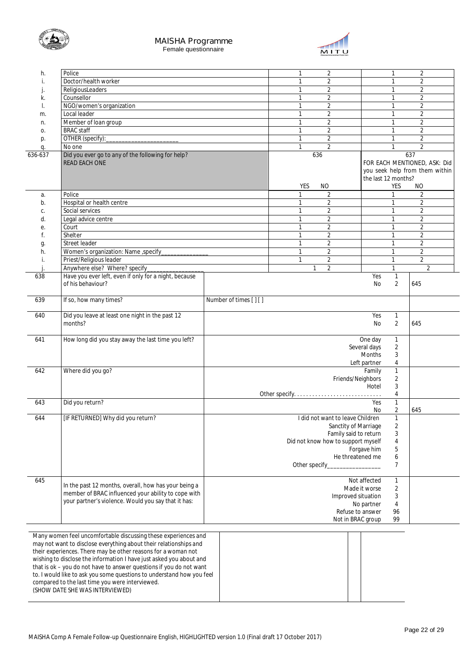



| h.      | Police                                                                |                       | $\overline{2}$<br>1                |                     | 1              | $\overline{2}$                 |
|---------|-----------------------------------------------------------------------|-----------------------|------------------------------------|---------------------|----------------|--------------------------------|
|         | Doctor/health worker                                                  |                       | 2<br>1                             |                     | 1              | 2                              |
|         | ReligiousLeaders                                                      |                       | $\overline{2}$<br>1                |                     | 1              | $\overline{2}$                 |
|         |                                                                       |                       |                                    |                     |                |                                |
| k.      | Counsellor                                                            |                       | $\overline{2}$<br>1                |                     | 1              | $\overline{2}$                 |
|         | NGO/women's organization                                              |                       | $\overline{a}$<br>$\mathbf{1}$     |                     | 1              | $\overline{2}$                 |
| m.      | Local leader                                                          |                       | $\overline{2}$<br>1                |                     | 1              | 2                              |
| n.      | Member of loan group                                                  |                       | $\overline{2}$<br>1                |                     | 1              | $\overline{2}$                 |
|         | <b>BRAC</b> staff                                                     |                       | $\overline{2}$<br>$\mathbf{1}$     |                     | 1              | $\overline{2}$                 |
| 0.      |                                                                       |                       |                                    |                     |                |                                |
| p.      | OTHER (specify):                                                      |                       | $\overline{2}$<br>1                |                     | 1              | $\overline{2}$                 |
| q.      | No one                                                                |                       | $\overline{2}$<br>$\mathbf{1}$     |                     | 1              | $\overline{2}$                 |
| 636-637 | Did you ever go to any of the following for help?                     |                       | 636                                |                     |                | 637                            |
|         | <b>READ EACH ONE</b>                                                  |                       |                                    |                     |                | FOR EACH MENTIONED, ASK: Did   |
|         |                                                                       |                       |                                    |                     |                |                                |
|         |                                                                       |                       |                                    |                     |                | you seek help from them within |
|         |                                                                       |                       |                                    | the last 12 months? |                |                                |
|         |                                                                       |                       | <b>YES</b><br>NO.                  |                     | YES            | NO                             |
| а.      | Police                                                                |                       | 2<br>1                             |                     | 1              | 2                              |
| b.      | Hospital or health centre                                             |                       | $\overline{2}$<br>$\mathbf{1}$     |                     | $\mathbf{1}$   | $\overline{2}$                 |
|         |                                                                       |                       | $\mathbf{1}$                       |                     |                |                                |
| C.      | Social services                                                       |                       | $\overline{a}$                     |                     | $\mathbf{1}$   | $\overline{2}$                 |
| d.      | Legal advice centre                                                   |                       | $\overline{a}$<br>$\mathbf{1}$     |                     | 1              | $\overline{2}$                 |
| е.      | Court                                                                 |                       | $\overline{2}$<br>1                |                     | 1              | $\overline{2}$                 |
| t.      | Shelter                                                               |                       | $\overline{2}$<br>$\mathbf{1}$     |                     | 1              | $\overline{2}$                 |
|         | Street leader                                                         |                       | 1                                  |                     | 1              |                                |
|         |                                                                       |                       | $\overline{2}$                     |                     |                | $\overline{2}$                 |
| h.      | Women's organization: Name , specify                                  |                       | $\overline{2}$<br>$\mathbf{1}$     |                     | $\mathbf{1}$   | $\overline{2}$                 |
| i.      | Priest/Religious leader                                               |                       | $\mathbf{1}$<br>$\overline{a}$     |                     | $\mathbf{1}$   | $\overline{2}$                 |
|         | Anywhere else? Where? specify                                         |                       | $\overline{a}$<br>$\mathbf{1}$     |                     | 1              | $\overline{2}$                 |
| 638     | Have you ever left, even if only for a night, because                 |                       |                                    | Yes                 | 1              |                                |
|         | of his behaviour?                                                     |                       |                                    |                     | $\overline{2}$ |                                |
|         |                                                                       |                       |                                    | No                  |                | 645                            |
|         |                                                                       |                       |                                    |                     |                |                                |
| 639     | If so, how many times?                                                | Number of times [] [] |                                    |                     |                |                                |
|         |                                                                       |                       |                                    |                     |                |                                |
| 640     | Did you leave at least one night in the past 12                       |                       |                                    | Yes                 | 1              |                                |
|         | months?                                                               |                       |                                    | No                  | 2              | 645                            |
|         |                                                                       |                       |                                    |                     |                |                                |
|         |                                                                       |                       |                                    |                     |                |                                |
| 641     | How long did you stay away the last time you left?                    |                       |                                    | One day             | 1              |                                |
|         |                                                                       |                       |                                    | Several days        | $\overline{2}$ |                                |
|         |                                                                       |                       |                                    | Months              | 3              |                                |
|         |                                                                       |                       |                                    | Left partner        | $\overline{4}$ |                                |
|         |                                                                       |                       |                                    |                     |                |                                |
| 642     | Where did you go?                                                     |                       |                                    | Family              | $\mathbf{1}$   |                                |
|         |                                                                       |                       | Friends/Neighbors                  |                     | $\overline{2}$ |                                |
|         |                                                                       |                       |                                    | Hotel               | 3              |                                |
|         |                                                                       |                       |                                    |                     | $\overline{4}$ |                                |
| 643     | Did you return?                                                       |                       |                                    | Yes                 | $\mathbf{1}$   |                                |
|         |                                                                       |                       |                                    | No                  | $\overline{2}$ | 645                            |
|         |                                                                       |                       |                                    |                     |                |                                |
| 644     | [IF RETURNED] Why did you return?                                     |                       | I did not want to leave Children   |                     | $\mathbf{1}$   |                                |
|         |                                                                       |                       | Sanctity of Marriage               |                     | 2              |                                |
|         |                                                                       |                       | Family said to return              |                     | 3              |                                |
|         |                                                                       |                       | Did not know how to support myself |                     | 4              |                                |
|         |                                                                       |                       |                                    | Forgave him         |                |                                |
|         |                                                                       |                       |                                    |                     | 5              |                                |
|         |                                                                       |                       | He threatened me                   |                     | 6              |                                |
|         |                                                                       |                       | Other specify_                     |                     | 7              |                                |
|         |                                                                       |                       |                                    |                     |                |                                |
| 645     |                                                                       |                       |                                    | Not affected        | 1              |                                |
|         | In the past 12 months, overall, how has your being a                  |                       |                                    | Made it worse       | $\sqrt{2}$     |                                |
|         | member of BRAC influenced your ability to cope with                   |                       |                                    |                     |                |                                |
|         | your partner's violence. Would you say that it has:                   |                       | Improved situation                 |                     | 3              |                                |
|         |                                                                       |                       |                                    | No partner          | $\overline{4}$ |                                |
|         |                                                                       |                       | Refuse to answer                   |                     | 96             |                                |
|         |                                                                       |                       | Not in BRAC group                  |                     | 99             |                                |
|         |                                                                       |                       |                                    |                     |                |                                |
|         | Many women feel uncomfortable discussing these experiences and        |                       |                                    |                     |                |                                |
|         |                                                                       |                       |                                    |                     |                |                                |
|         | may not want to disclose everything about their relationships and     |                       |                                    |                     |                |                                |
|         | their experiences. There may be other reasons for a woman not         |                       |                                    |                     |                |                                |
|         | wishing to disclose the information I have just asked you about and   |                       |                                    |                     |                |                                |
|         | that is ok - you do not have to answer questions if you do not want   |                       |                                    |                     |                |                                |
|         |                                                                       |                       |                                    |                     |                |                                |
|         | to. I would like to ask you some questions to understand how you feel |                       |                                    |                     |                |                                |
|         | compared to the last time you were interviewed.                       |                       |                                    |                     |                |                                |
|         | (SHOW DATE SHE WAS INTERVIEWED)                                       |                       |                                    |                     |                |                                |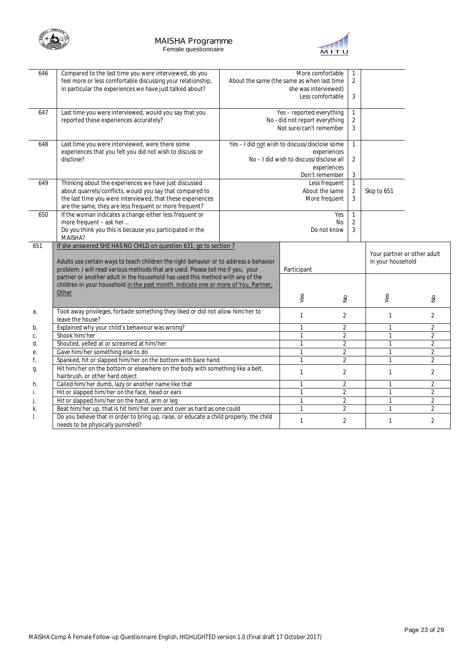



| 646 | Compared to the last time you were interviewed, do you                                  |                                               | More comfortable                        |                | $\mathbf{1}$        |                             |                |
|-----|-----------------------------------------------------------------------------------------|-----------------------------------------------|-----------------------------------------|----------------|---------------------|-----------------------------|----------------|
|     | feel more or less comfortable discussing your relationship,                             | About the same (the same as when last time    |                                         |                | $\overline{2}$      |                             |                |
|     | in particular the experiences we have just talked about?                                |                                               | she was interviewed)                    |                |                     |                             |                |
|     |                                                                                         |                                               | Less comfortable                        |                | 3                   |                             |                |
| 647 | Last time you were interviewed, would you say that you                                  |                                               | Yes - reported everything               |                | 1                   |                             |                |
|     | reported these experiences accurately?                                                  |                                               | No-did not report everything            |                | $\overline{2}$      |                             |                |
|     |                                                                                         |                                               | Not sure/can't remember                 |                | 3                   |                             |                |
|     |                                                                                         |                                               |                                         |                |                     |                             |                |
| 648 | Last time you were interviewed, were there some                                         | Yes - I did not wish to discuss/disclose some |                                         |                | $\mathbf{1}$        |                             |                |
|     | experiences that you felt you did not wish to discuss or                                |                                               |                                         | experiences    |                     |                             |                |
|     | disclose?                                                                               |                                               | No - I did wish to discuss/disclose all |                | 2                   |                             |                |
|     |                                                                                         |                                               |                                         | experiences    |                     |                             |                |
|     |                                                                                         |                                               | Don't remember                          |                | 3                   |                             |                |
| 649 | Thinking about the experiences we have just discussed                                   |                                               |                                         | Less frequent  | 1                   |                             |                |
|     | about quarrels/conflicts, would you say that compared to                                |                                               | About the same                          |                | $\overline{2}$      | Skip to 651                 |                |
|     | the last time you were interviewed, that these experiences                              |                                               |                                         | More frequent  | 3                   |                             |                |
|     | are the same, they are less frequent or more frequent?                                  |                                               |                                         |                |                     |                             |                |
| 650 | If the woman indicates a change either less frequent or                                 |                                               |                                         | Yes            | 1                   |                             |                |
|     | more frequent - ask her<br>Do you think you this is because you participated in the     |                                               |                                         | No             | $\overline{2}$<br>3 |                             |                |
|     | MAISHA?                                                                                 |                                               |                                         | Do not know    |                     |                             |                |
| 651 | If she answered SHE HAS NO CHILD on question 631, go to section 7                       |                                               |                                         |                |                     |                             |                |
|     |                                                                                         |                                               |                                         |                |                     | Your partner or other adult |                |
|     | Adults use certain ways to teach children the right behavior or to address a behavior   |                                               |                                         |                |                     | in your household           |                |
|     | problem. I will read various methods that are used. Please tell me if you, your         |                                               | Participant                             |                |                     |                             |                |
|     | partner or another adult in the household has used this method with any of the          |                                               |                                         |                |                     |                             |                |
|     | children in your household in the past month. Indicate one or more of You, Partner,     |                                               |                                         |                |                     |                             |                |
|     | Other                                                                                   |                                               |                                         |                |                     |                             |                |
|     |                                                                                         |                                               | Yes                                     | $\geq$         |                     | Yes                         | $\frac{1}{2}$  |
| а.  | Took away privileges, forbade something they liked or did not allow him/her to          |                                               | $\mathbf{1}$                            | 2              |                     | $\mathbf{1}$                | 2              |
|     | leave the house?                                                                        |                                               |                                         |                |                     |                             |                |
| b.  | Explained why your child's behaviour was wrong?                                         |                                               | $\mathbf{1}$                            | $\overline{2}$ |                     | $\mathbf{1}$                | $\overline{2}$ |
| C.  | Shook him/her                                                                           |                                               | 1                                       | $\overline{2}$ |                     | $\mathbf{1}$                | $\overline{2}$ |
| d.  | Shouted, yelled at or screamed at him/her                                               |                                               | 1                                       | $\overline{2}$ |                     | $\mathbf{1}$                | $\overline{2}$ |
| е.  | Gave him/her something else to do                                                       |                                               | $\mathbf{1}$                            | $\overline{2}$ |                     | $\mathbf{1}$                | $\overline{2}$ |
| f.  | Spanked, hit or slapped him/her on the bottom with bare hand                            |                                               | $\mathbf{1}$                            | $\overline{2}$ |                     | $\mathbf{1}$                | $\overline{2}$ |
| g.  | Hit him/her on the bottom or elsewhere on the body with something like a belt,          |                                               | $\mathbf{1}$                            | $\overline{2}$ |                     | $\mathbf{1}$                | $\overline{2}$ |
|     | hairbrush, or other hard object                                                         |                                               |                                         |                |                     |                             |                |
| h.  | Called him/her dumb, lazy or another name like that                                     |                                               | $\mathbf{1}$                            | $\overline{2}$ |                     | $\mathbf{1}$                | $\overline{2}$ |
| i.  | Hit or slapped him/her on the face, head or ears                                        |                                               | 1                                       | $\overline{2}$ |                     | $\mathbf{1}$                | $\overline{2}$ |
| j.  | Hit or slapped him/her on the hand, arm or leg                                          |                                               | $\mathbf{1}$                            | $\overline{2}$ |                     | $\mathbf{1}$                | $\overline{2}$ |
| k.  | Beat him/her up, that is hit him/her over and over as hard as one could                 |                                               | $\mathbf{1}$                            | $\overline{2}$ |                     | $\mathbf{1}$                | $\overline{2}$ |
| I.  | Do you believe that in order to bring up, raise, or educate a child properly, the child |                                               | $\mathbf{1}$                            | $\overline{2}$ |                     | $\mathbf{1}$                | $\overline{2}$ |
|     | needs to be physically punished?                                                        |                                               |                                         |                |                     |                             |                |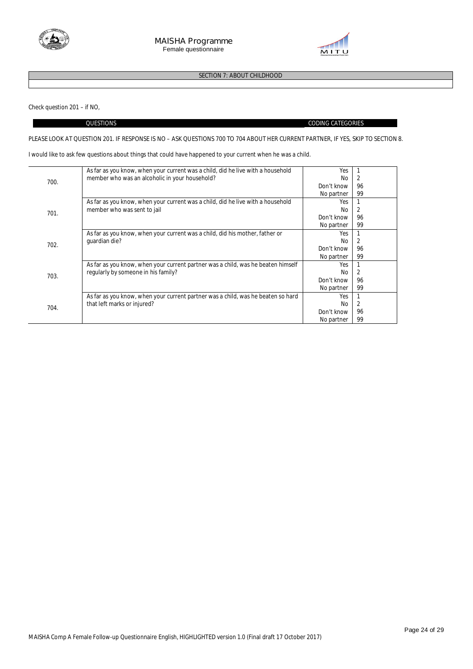



# **SECTION 7: ABOUT CHILDHOOD**

Check question 201 – if NO,

 $\overline{a}$ 

#### QUESTIONS CODING CATEGORIES

#### **PLEASE LOOK AT QUESTION 201. IF RESPONSE IS NO – ASK QUESTIONS 700 TO 704 ABOUT HER CURRENT PARTNER, IF YES, SKIP TO SECTION 8.**

I would like to ask few questions about things that could have happened to your current when he was a child.

| 700. | As far as you know, when your current was a child, did he live with a household  | Yes        |    |
|------|----------------------------------------------------------------------------------|------------|----|
|      | member who was an alcoholic in your household?                                   | No         | 2  |
|      |                                                                                  | Don't know | 96 |
|      |                                                                                  | No partner | 99 |
|      | As far as you know, when your current was a child, did he live with a household  | Yes        |    |
| 701. | member who was sent to jail                                                      | No.        |    |
|      |                                                                                  | Don't know | 96 |
|      |                                                                                  | No partner | 99 |
|      | As far as you know, when your current was a child, did his mother, father or     | Yes        |    |
| 702. | quardian die?                                                                    | No         |    |
|      |                                                                                  | Don't know | 96 |
|      |                                                                                  | No partner | 99 |
|      | As far as you know, when your current partner was a child, was he beaten himself | Yes        |    |
| 703. | regularly by someone in his family?                                              | No.        |    |
|      |                                                                                  | Don't know | 96 |
|      |                                                                                  | No partner | 99 |
| 704. | As far as you know, when your current partner was a child, was he beaten so hard | Yes        |    |
|      | that left marks or injured?                                                      | No.        |    |
|      |                                                                                  | Don't know | 96 |
|      |                                                                                  | No partner | 99 |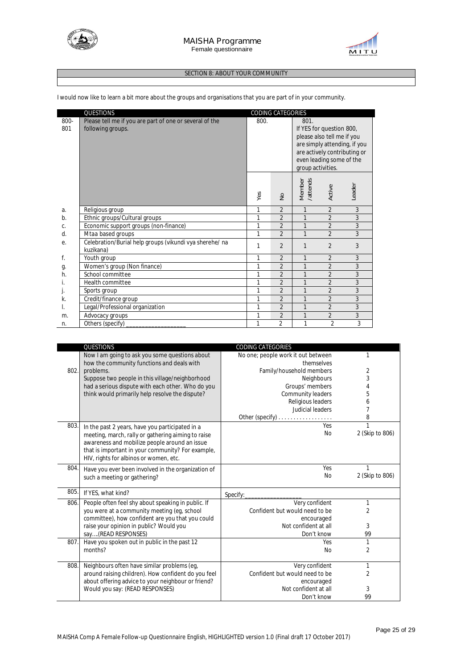



#### **SECTION 8: ABOUT YOUR COMMUNITY**

|             | QUESTIONS                                                                    | CODING CATEGORIES |                |                                                                                                                                                                                 |                |        |
|-------------|------------------------------------------------------------------------------|-------------------|----------------|---------------------------------------------------------------------------------------------------------------------------------------------------------------------------------|----------------|--------|
| 800-<br>801 | Please tell me if you are part of one or several of the<br>following groups. | 800.              |                | 801.<br>If YES for question 800,<br>please also tell me if you<br>are simply attending, if you<br>are actively contributing or<br>even leading some of the<br>group activities. |                |        |
|             |                                                                              | Yes               | $\frac{1}{2}$  | Member<br>/attends                                                                                                                                                              | Active         | Leader |
| a.          | Religious group                                                              | 1                 | $\overline{2}$ | $\mathbf{1}$                                                                                                                                                                    | $\overline{2}$ | 3      |
| b.          | Ethnic groups/Cultural groups                                                | 1                 | $\overline{2}$ |                                                                                                                                                                                 | $\overline{2}$ | 3      |
| C.          | Economic support groups (non-finance)                                        | 1                 | $\overline{2}$ | $\mathbf{1}$                                                                                                                                                                    | $\overline{2}$ | 3      |
| d.          | Mtaabased groups                                                             | 1                 | $\overline{2}$ | $\mathbf{1}$                                                                                                                                                                    | $\overline{2}$ | 3      |
| е.          | Celebration/Burial help groups (vikundi vya sherehe/ na<br>kuzikana)         | 1                 | $\overline{2}$ | 1                                                                                                                                                                               | $\overline{2}$ | 3      |
| f.          | Youth group                                                                  | 1                 | $\overline{2}$ | 1                                                                                                                                                                               | $\overline{2}$ | 3      |
| g.          | Women's group (Non finance)                                                  | 1                 | $\overline{2}$ | $\mathbf{1}$                                                                                                                                                                    | $\overline{2}$ | 3      |
| h.          | School committee                                                             | 1                 | $\overline{2}$ | $\mathbf{1}$                                                                                                                                                                    | $\overline{2}$ | 3      |
| İ.          | Health committee                                                             | 1                 | $\overline{2}$ | 1                                                                                                                                                                               | $\overline{2}$ | 3      |
| J.          | Sports group                                                                 | 1                 | $\overline{2}$ | 1                                                                                                                                                                               | $\overline{2}$ | 3      |
| k.          | Credit/finance group                                                         | 1                 | $\overline{2}$ | 1                                                                                                                                                                               | $\overline{2}$ | 3      |
| I.          | Legal/Professional organization                                              | 1                 | $\overline{2}$ | $\mathbf{1}$                                                                                                                                                                    | $\overline{2}$ | 3      |
| m.          | Advocacy groups                                                              | 1                 | $\overline{2}$ | $\mathbf{1}$                                                                                                                                                                    | $\overline{2}$ | 3      |
| n.          | Others (specify)                                                             | 1                 | $\overline{2}$ | $\mathbf{1}$                                                                                                                                                                    | $\overline{2}$ | 3      |

I would now like to learn a bit more about the groups and organisations that you are part of in your community.

|      | <b>QUESTIONS</b>                                    | <b>CODING CATEGORIES</b>           |                 |
|------|-----------------------------------------------------|------------------------------------|-----------------|
|      | Now I am going to ask you some questions about      | No one; people work it out between | 1               |
|      | how the community functions and deals with          | themselves                         |                 |
| 802. | problems.                                           | Family/household members           | 2               |
|      | Suppose two people in this village/neighborhood     | Neighbours                         | 3               |
|      | had a serious dispute with each other. Who do you   | Groups' members                    | 4               |
|      | think would primarily help resolve the dispute?     | Community leaders                  | 5               |
|      |                                                     | Religious leaders                  | 6               |
|      |                                                     | Judicial leaders                   | 7               |
|      |                                                     |                                    | 8               |
| 803. | In the past 2 years, have you participated in a     | Yes                                | 1               |
|      | meeting, march, rally or gathering aiming to raise  | No                                 | 2 (Skip to 806) |
|      | awareness and mobilize people around an issue       |                                    |                 |
|      | that is important in your community? For example,   |                                    |                 |
|      | HIV, rights for albinos or women, etc.              |                                    |                 |
| 804. | Have you ever been involved in the organization of  | Yes                                | 1               |
|      | such a meeting or gathering?                        | No                                 | 2 (Skip to 806) |
|      |                                                     |                                    |                 |
| 805. | If YES, what kind?                                  | Specify:                           |                 |
| 806. | People often feel shy about speaking in public. If  | Very confident                     | 1               |
|      | you were at a community meeting (eg, school         | Confident but would need to be     | $\overline{2}$  |
|      | committee), how confident are you that you could    | encouraged                         |                 |
|      | raise your opinion in public? Would you             | Not confident at all               | 3               |
|      | say(READ RESPONSES)                                 | Don't know                         | 99              |
| 807. | Have you spoken out in public in the past 12        | Yes                                | 1               |
|      | months?                                             | <b>No</b>                          | $\overline{2}$  |
|      |                                                     |                                    |                 |
| 808. | Neighbours often have similar problems (eq.         | Very confident                     | 1               |
|      |                                                     |                                    |                 |
|      | around raising children). How confident do you feel | Confident but would need to be     | 2               |
|      | about offering advice to your neighbour or friend?  | encouraged                         |                 |
|      | Would you say: (READ RESPONSES)                     | Not confident at all<br>Don't know | 3<br>99         |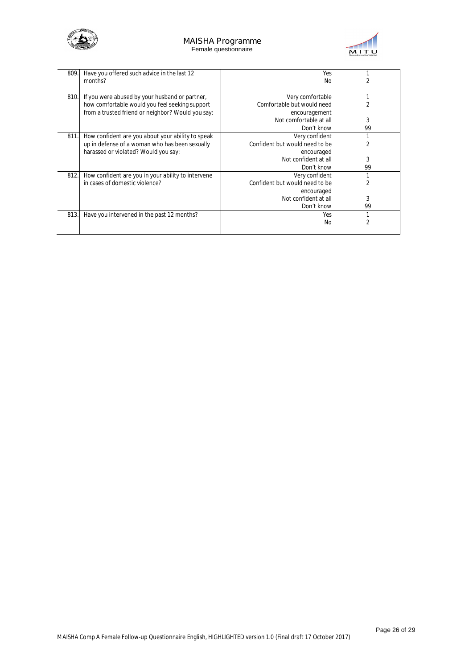



| 809. | Have you offered such advice in the last 12        | Yes                            |    |
|------|----------------------------------------------------|--------------------------------|----|
|      | months?                                            | No                             |    |
| 810. | If you were abused by your husband or partner,     | Very comfortable               |    |
|      | how comfortable would you feel seeking support     | Comfortable but would need     |    |
|      | from a trusted friend or neighbor? Would you say:  | encouragement                  |    |
|      |                                                    | Not comfortable at all         | 3  |
|      |                                                    | Don't know                     | 99 |
| 811. | How confident are you about your ability to speak  | Very confident                 |    |
|      | up in defense of a woman who has been sexually     | Confident but would need to be |    |
|      | harassed or violated? Would you say:               | encouraged                     |    |
|      |                                                    | Not confident at all           | 3  |
|      |                                                    | Don't know                     | 99 |
| 812. | How confident are you in your ability to intervene | Very confident                 |    |
|      | in cases of domestic violence?                     | Confident but would need to be |    |
|      |                                                    | encouraged                     |    |
|      |                                                    | Not confident at all           | 3  |
|      |                                                    | Don't know                     | 99 |
| 813. | Have you intervened in the past 12 months?         | Yes                            |    |
|      |                                                    | N <sub>0</sub>                 |    |
|      |                                                    |                                |    |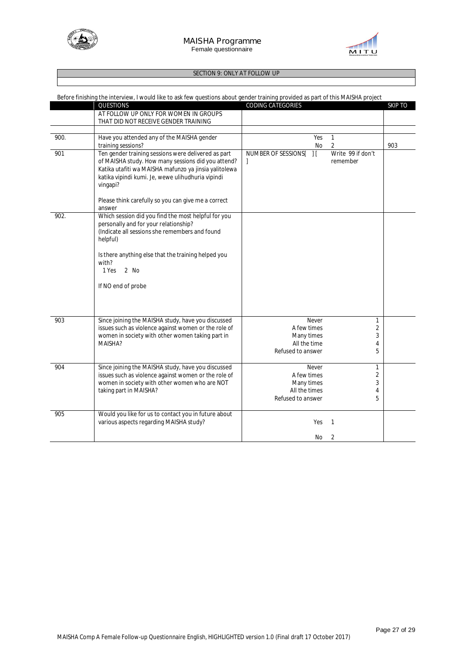



### **SECTION 9: ONLY AT FOLLOW UP**

|      | Before finishing the interview, I would like to ask few questions about gender training provided as part of this MAISHA project                                                                                                     |                                                           |                |
|------|-------------------------------------------------------------------------------------------------------------------------------------------------------------------------------------------------------------------------------------|-----------------------------------------------------------|----------------|
|      | QUESTIONS                                                                                                                                                                                                                           | CODING CATEGORIES                                         | <b>SKIP TO</b> |
|      | AT FOLLOW UP ONLY FOR WOMEN IN GROUPS<br>THAT DID NOT RECEIVE GENDER TRAINING                                                                                                                                                       |                                                           |                |
|      |                                                                                                                                                                                                                                     |                                                           |                |
| 900. | Have you attended any of the MAISHA gender                                                                                                                                                                                          | Yes<br>$\mathbf{1}$                                       |                |
|      | training sessions?                                                                                                                                                                                                                  | 2<br>No                                                   | 903            |
| 901  | Ten gender training sessions were delivered as part<br>of MAISHA study. How many sessions did you attend?<br>Katika utafiti wa MAISHA mafunzo ya jinsia yalitolewa<br>katika vipindi kumi. Je, wewe ulihudhuria vipindi<br>vingapi? | NUMBER OF SESSIONS[<br>Write 99 if don't<br>H<br>remember |                |
|      | Please think carefully so you can give me a correct<br>answer                                                                                                                                                                       |                                                           |                |
| 902. | Which session did you find the most helpful for you<br>personally and for your relationship?<br>(Indicate all sessions she remembers and found<br>helpful)                                                                          |                                                           |                |
|      | Is there anything else that the training helped you<br>with?<br>1 Yes<br>2 No                                                                                                                                                       |                                                           |                |
|      | If NO end of probe                                                                                                                                                                                                                  |                                                           |                |
| 903  | Since joining the MAISHA study, have you discussed                                                                                                                                                                                  | Never<br>$\mathbf{1}$                                     |                |
|      | issues such as violence against women or the role of                                                                                                                                                                                | A few times<br>2                                          |                |
|      | women in society with other women taking part in                                                                                                                                                                                    | Many times<br>3                                           |                |
|      | MAISHA?                                                                                                                                                                                                                             | All the time<br>4                                         |                |
|      |                                                                                                                                                                                                                                     | 5<br>Refused to answer                                    |                |
| 904  | Since joining the MAISHA study, have you discussed                                                                                                                                                                                  | Never<br>$\mathbf{1}$                                     |                |
|      | issues such as violence against women or the role of                                                                                                                                                                                | A few times<br>2                                          |                |
|      | women in society with other women who are NOT                                                                                                                                                                                       | 3<br>Many times                                           |                |
|      | taking part in MAISHA?                                                                                                                                                                                                              | All the times<br>4<br>5<br>Refused to answer              |                |
|      |                                                                                                                                                                                                                                     |                                                           |                |
| 905  | Would you like for us to contact you in future about<br>various aspects regarding MAISHA study?                                                                                                                                     | Yes<br>$\mathbf{1}$                                       |                |
|      |                                                                                                                                                                                                                                     | No<br>2                                                   |                |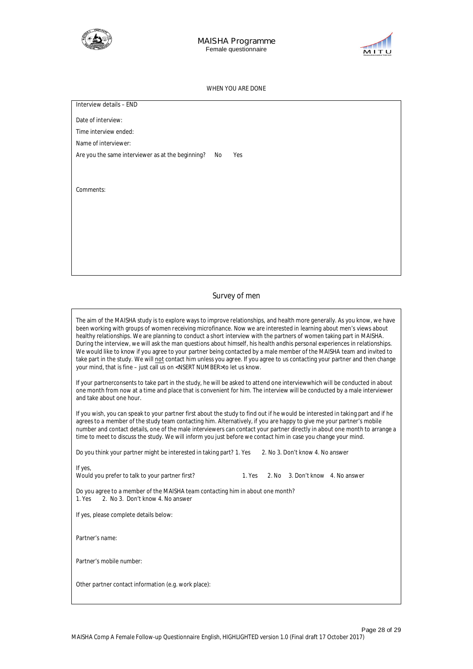



#### **WHEN YOU ARE DONE**

Date of interview:

Time interview ended:

Name of interviewer:

Are you the same interviewer as at the beginning? No **Yes** 

Comments:

#### **Survey of men**

The aim of the MAISHA study is to explore ways to improve relationships, and health more generally. As you know, we have been working with groups of women receiving microfinance. Now we are interested in learning about men's views about healthy relationships. We are planning to conduct a short interview with the partners of women taking part in MAISHA. During the interview, we will ask the man questions about himself, his health andhis personal experiences in relationships. We would like to know if you agree to your partner being contacted by a male member of the MAISHA team and invited to take part in the study. We will **not** contact him unless you agree. If you agree to us contacting your partner and then change your mind, that is fine – just call us on <NSERT NUMBER>to let us know.

If your partnerconsents to take part in the study, he will be asked to attend one interviewwhich will be conducted in about one month from now at a time and place that is convenient for him. The interview will be conducted by a male interviewer and take about one hour.

If you wish, you can speak to your partner first about the study to find out if he would be interested in taking part and if he agrees to a member of the study team contacting him. Alternatively, if you are happy to give me your partner's mobile number and contact details, one of the male interviewers can contact your partner directly in about one month to arrange a time to meet to discuss the study. We will inform you just before we contact him in case you change your mind.

Do you think your partner might be interested in taking part? 1. Yes 2. No 3. Don't know 4. No answer

Would you prefer to talk to your partner first? 1. Yes 2. No 3. Don't know 4. No answer

Do you agree to a member of the MAISHA team contacting him in about one month? 2. No 3. Don't know 4. No answer

*If yes*, please complete details below:

Partner's name:

Partner's mobile number:

Other partner contact information (e.g. work place):